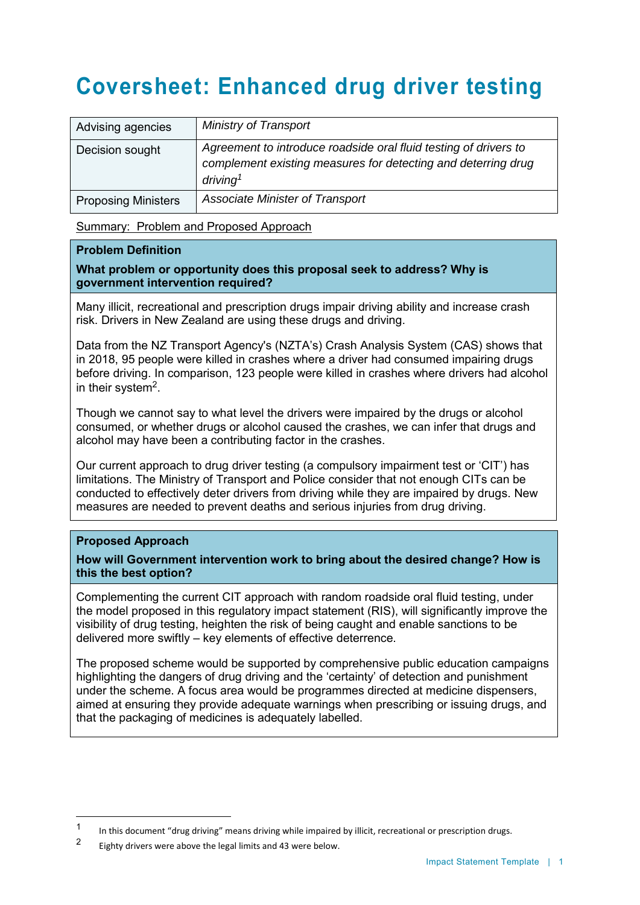# **Coversheet: Enhanced drug driver testing**

| Advising agencies          | Ministry of Transport                                                                                                                                     |
|----------------------------|-----------------------------------------------------------------------------------------------------------------------------------------------------------|
| Decision sought            | Agreement to introduce roadside oral fluid testing of drivers to<br>complement existing measures for detecting and deterring drug<br>driving <sup>1</sup> |
| <b>Proposing Ministers</b> | <b>Associate Minister of Transport</b>                                                                                                                    |

Summary: Problem and Proposed Approach

#### **Problem Definition**

#### **What problem or opportunity does this proposal seek to address? Why is government intervention required?**

Many illicit, recreational and prescription drugs impair driving ability and increase crash risk. Drivers in New Zealand are using these drugs and driving.

Data from the NZ Transport Agency's (NZTA's) Crash Analysis System (CAS) shows that in 2018, 95 people were killed in crashes where a driver had consumed impairing drugs before driving. In comparison, 123 people were killed in crashes where drivers had alcohol in their system $^2$ .

Though we cannot say to what level the drivers were impaired by the drugs or alcohol consumed, or whether drugs or alcohol caused the crashes, we can infer that drugs and alcohol may have been a contributing factor in the crashes.

Our current approach to drug driver testing (a compulsory impairment test or 'CIT') has limitations. The Ministry of Transport and Police consider that not enough CITs can be conducted to effectively deter drivers from driving while they are impaired by drugs. New measures are needed to prevent deaths and serious injuries from drug driving.

#### **Proposed Approach**

 $\overline{a}$ 

**How will Government intervention work to bring about the desired change? How is this the best option?**

Complementing the current CIT approach with random roadside oral fluid testing, under the model proposed in this regulatory impact statement (RIS), will significantly improve the visibility of drug testing, heighten the risk of being caught and enable sanctions to be delivered more swiftly – key elements of effective deterrence.

The proposed scheme would be supported by comprehensive public education campaigns highlighting the dangers of drug driving and the 'certainty' of detection and punishment under the scheme. A focus area would be programmes directed at medicine dispensers, aimed at ensuring they provide adequate warnings when prescribing or issuing drugs, and that the packaging of medicines is adequately labelled.

<sup>1</sup> In this document "drug driving" means driving while impaired by illicit, recreational or prescription drugs.

<sup>2</sup> Eighty drivers were above the legal limits and 43 were below.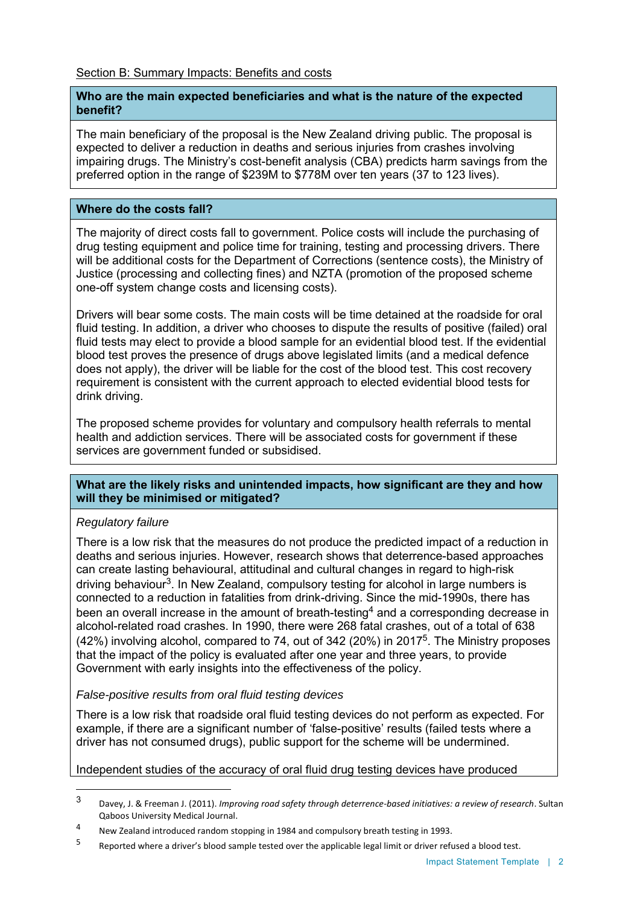#### **Who are the main expected beneficiaries and what is the nature of the expected benefit?**

The main beneficiary of the proposal is the New Zealand driving public. The proposal is expected to deliver a reduction in deaths and serious injuries from crashes involving impairing drugs. The Ministry's cost-benefit analysis (CBA) predicts harm savings from the preferred option in the range of \$239M to \$778M over ten years (37 to 123 lives).

#### **Where do the costs fall?**

The majority of direct costs fall to government. Police costs will include the purchasing of drug testing equipment and police time for training, testing and processing drivers. There will be additional costs for the Department of Corrections (sentence costs), the Ministry of Justice (processing and collecting fines) and NZTA (promotion of the proposed scheme one-off system change costs and licensing costs).

Drivers will bear some costs. The main costs will be time detained at the roadside for oral fluid testing. In addition, a driver who chooses to dispute the results of positive (failed) oral fluid tests may elect to provide a blood sample for an evidential blood test. If the evidential blood test proves the presence of drugs above legislated limits (and a medical defence does not apply), the driver will be liable for the cost of the blood test. This cost recovery requirement is consistent with the current approach to elected evidential blood tests for drink driving.

The proposed scheme provides for voluntary and compulsory health referrals to mental health and addiction services. There will be associated costs for government if these services are government funded or subsidised.

#### **What are the likely risks and unintended impacts, how significant are they and how will they be minimised or mitigated?**

#### *Regulatory failure*

There is a low risk that the measures do not produce the predicted impact of a reduction in deaths and serious injuries. However, research shows that deterrence-based approaches can create lasting behavioural, attitudinal and cultural changes in regard to high-risk driving behaviour<sup>3</sup>. In New Zealand, compulsory testing for alcohol in large numbers is connected to a reduction in fatalities from drink-driving. Since the mid-1990s, there has been an overall increase in the amount of breath-testing<sup>4</sup> and a corresponding decrease in alcohol-related road crashes. In 1990, there were 268 fatal crashes, out of a total of 638 (42%) involving alcohol, compared to 74, out of 342 (20%) in 2017<sup>5</sup>. The Ministry proposes that the impact of the policy is evaluated after one year and three years, to provide Government with early insights into the effectiveness of the policy.

#### *False-positive results from oral fluid testing devices*

There is a low risk that roadside oral fluid testing devices do not perform as expected. For example, if there are a significant number of 'false-positive' results (failed tests where a driver has not consumed drugs), public support for the scheme will be undermined.

#### Independent studies of the accuracy of oral fluid drug testing devices have produced

 $\overline{3}$ <sup>3</sup> Davey, J. & Freeman J. (2011). *Improving road safety through deterrence-based initiatives: a review of research*. Sultan Qaboos University Medical Journal.

<sup>4</sup> New Zealand introduced random stopping in 1984 and compulsory breath testing in 1993.

<sup>5</sup> Reported where a driver's blood sample tested over the applicable legal limit or driver refused a blood test.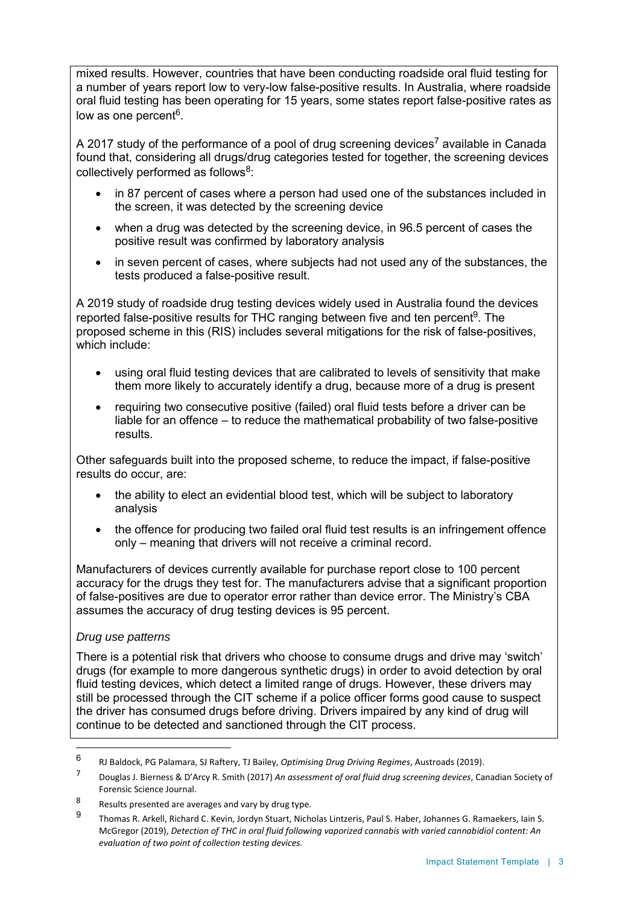mixed results. However, countries that have been conducting roadside oral fluid testing for a number of years report low to very-low false-positive results. In Australia, where roadside oral fluid testing has been operating for 15 years, some states report false-positive rates as low as one percent<sup>6</sup>.

A 2017 study of the performance of a pool of drug screening devices<sup>7</sup> available in Canada found that, considering all drugs/drug categories tested for together, the screening devices collectively performed as follows $^8\!\!$  :

- in 87 percent of cases where a person had used one of the substances included in the screen, it was detected by the screening device
- when a drug was detected by the screening device, in 96.5 percent of cases the positive result was confirmed by laboratory analysis
- in seven percent of cases, where subjects had not used any of the substances, the tests produced a false-positive result.

A 2019 study of roadside drug testing devices widely used in Australia found the devices reported false-positive results for THC ranging between five and ten percent<sup>9</sup>. The proposed scheme in this (RIS) includes several mitigations for the risk of false-positives, which include:

- using oral fluid testing devices that are calibrated to levels of sensitivity that make them more likely to accurately identify a drug, because more of a drug is present
- requiring two consecutive positive (failed) oral fluid tests before a driver can be liable for an offence – to reduce the mathematical probability of two false-positive results.

Other safeguards built into the proposed scheme, to reduce the impact, if false-positive results do occur, are:

- the ability to elect an evidential blood test, which will be subject to laboratory analysis
- the offence for producing two failed oral fluid test results is an infringement offence only – meaning that drivers will not receive a criminal record.

Manufacturers of devices currently available for purchase report close to 100 percent accuracy for the drugs they test for. The manufacturers advise that a significant proportion of false-positives are due to operator error rather than device error. The Ministry's CBA assumes the accuracy of drug testing devices is 95 percent.

#### *Drug use patterns*

 $\overline{a}$ 

There is a potential risk that drivers who choose to consume drugs and drive may 'switch' drugs (for example to more dangerous synthetic drugs) in order to avoid detection by oral fluid testing devices, which detect a limited range of drugs. However, these drivers may still be processed through the CIT scheme if a police officer forms good cause to suspect the driver has consumed drugs before driving. Drivers impaired by any kind of drug will continue to be detected and sanctioned through the CIT process.

<sup>6</sup> RJ Baldock, PG Palamara, SJ Raftery, TJ Bailey, *Optimising Drug Driving Regimes*, Austroads (2019).

<sup>7</sup> Douglas J. Bierness & D'Arcy R. Smith (2017) *An assessment of oral fluid drug screening devices*, Canadian Society of Forensic Science Journal.

<sup>8</sup> Results presented are averages and vary by drug type.

<sup>9</sup> Thomas R. Arkell, Richard C. Kevin, Jordyn Stuart, Nicholas Lintzeris, Paul S. Haber, Johannes G. Ramaekers, Iain S. McGregor (2019), *Detection of THC in oral fluid following vaporized cannabis with varied cannabidiol content: An evaluation of two point of collection testing devices.*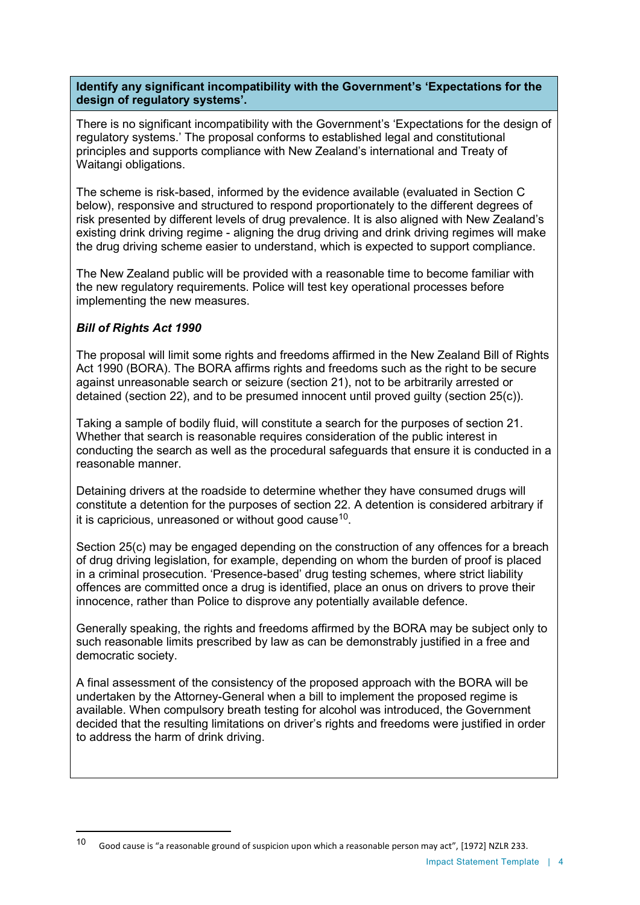**Identify any significant incompatibility with the Government's 'Expectations for the design of regulatory systems'.** 

There is no significant incompatibility with the Government's 'Expectations for the design of regulatory systems.' The proposal conforms to established legal and constitutional principles and supports compliance with New Zealand's international and Treaty of Waitangi obligations.

The scheme is risk-based, informed by the evidence available (evaluated in Section C below), responsive and structured to respond proportionately to the different degrees of risk presented by different levels of drug prevalence. It is also aligned with New Zealand's existing drink driving regime - aligning the drug driving and drink driving regimes will make the drug driving scheme easier to understand, which is expected to support compliance.

The New Zealand public will be provided with a reasonable time to become familiar with the new regulatory requirements. Police will test key operational processes before implementing the new measures.

# *Bill of Rights Act 1990*

 $\overline{a}$ 

The proposal will limit some rights and freedoms affirmed in the New Zealand Bill of Rights Act 1990 (BORA). The BORA affirms rights and freedoms such as the right to be secure against unreasonable search or seizure (section 21), not to be arbitrarily arrested or detained (section 22), and to be presumed innocent until proved guilty (section 25(c)).

Taking a sample of bodily fluid, will constitute a search for the purposes of section 21. Whether that search is reasonable requires consideration of the public interest in conducting the search as well as the procedural safeguards that ensure it is conducted in a reasonable manner.

Detaining drivers at the roadside to determine whether they have consumed drugs will constitute a detention for the purposes of section 22. A detention is considered arbitrary if it is capricious, unreasoned or without good cause $^{\rm 10}$ .

Section 25(c) may be engaged depending on the construction of any offences for a breach of drug driving legislation, for example, depending on whom the burden of proof is placed in a criminal prosecution. 'Presence-based' drug testing schemes, where strict liability offences are committed once a drug is identified, place an onus on drivers to prove their innocence, rather than Police to disprove any potentially available defence.

Generally speaking, the rights and freedoms affirmed by the BORA may be subject only to such reasonable limits prescribed by law as can be demonstrably justified in a free and democratic society.

A final assessment of the consistency of the proposed approach with the BORA will be undertaken by the Attorney-General when a bill to implement the proposed regime is available. When compulsory breath testing for alcohol was introduced, the Government decided that the resulting limitations on driver's rights and freedoms were justified in order to address the harm of drink driving.

<sup>10</sup> Good cause is "a reasonable ground of suspicion upon which a reasonable person may act", [1972] NZLR 233.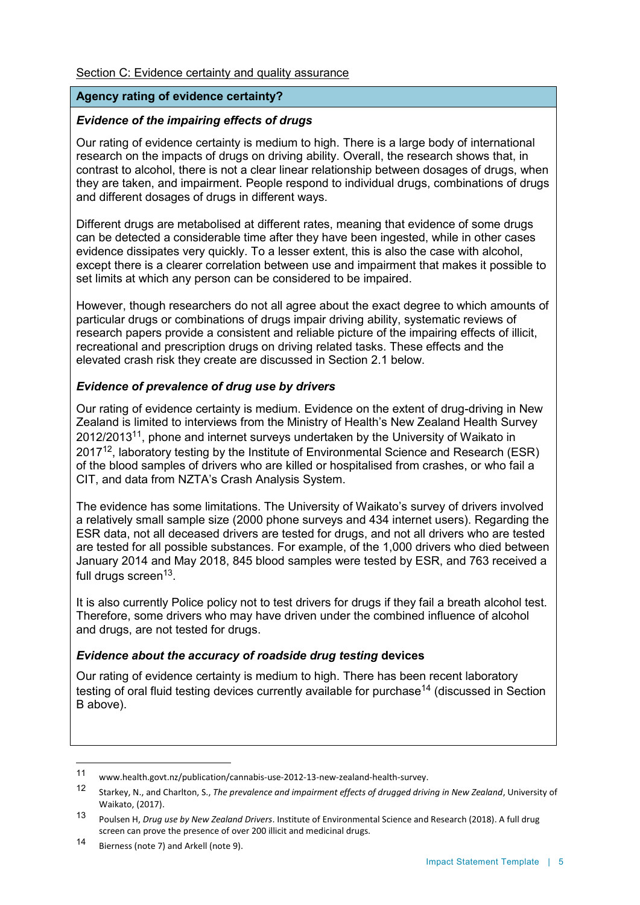#### Section C: Evidence certainty and quality assurance

# **Agency rating of evidence certainty?**

#### *Evidence of the impairing effects of drugs*

Our rating of evidence certainty is medium to high. There is a large body of international research on the impacts of drugs on driving ability. Overall, the research shows that, in contrast to alcohol, there is not a clear linear relationship between dosages of drugs, when they are taken, and impairment. People respond to individual drugs, combinations of drugs and different dosages of drugs in different ways.

Different drugs are metabolised at different rates, meaning that evidence of some drugs can be detected a considerable time after they have been ingested, while in other cases evidence dissipates very quickly. To a lesser extent, this is also the case with alcohol, except there is a clearer correlation between use and impairment that makes it possible to set limits at which any person can be considered to be impaired.

However, though researchers do not all agree about the exact degree to which amounts of particular drugs or combinations of drugs impair driving ability, systematic reviews of research papers provide a consistent and reliable picture of the impairing effects of illicit, recreational and prescription drugs on driving related tasks. These effects and the elevated crash risk they create are discussed in Section 2.1 below.

# *Evidence of prevalence of drug use by drivers*

Our rating of evidence certainty is medium. Evidence on the extent of drug-driving in New Zealand is limited to interviews from the Ministry of Health's New Zealand Health Survey 2012/2013 $^{11}$ , phone and internet surveys undertaken by the University of Waikato in 2017 $^{12}$ , laboratory testing by the Institute of Environmental Science and Research (ESR) of the blood samples of drivers who are killed or hospitalised from crashes, or who fail a CIT, and data from NZTA's Crash Analysis System.

The evidence has some limitations. The University of Waikato's survey of drivers involved a relatively small sample size (2000 phone surveys and 434 internet users). Regarding the ESR data, not all deceased drivers are tested for drugs, and not all drivers who are tested are tested for all possible substances. For example, of the 1,000 drivers who died between January 2014 and May 2018, 845 blood samples were tested by ESR, and 763 received a full drugs screen<sup>13</sup>.

It is also currently Police policy not to test drivers for drugs if they fail a breath alcohol test. Therefore, some drivers who may have driven under the combined influence of alcohol and drugs, are not tested for drugs.

#### *Evidence about the accuracy of roadside drug testing* **devices**

Our rating of evidence certainty is medium to high. There has been recent laboratory testing of oral fluid testing devices currently available for purchase<sup>14</sup> (discussed in Section B above).

 $11$ www.health.govt.nz/publication/cannabis-use-2012-13-new-zealand-health-survey.

<sup>12</sup> Starkey, N., and Charlton, S., *The prevalence and impairment effects of drugged driving in New Zealand*, University of Waikato, (2017).

<sup>13</sup> Poulsen H, *Drug use by New Zealand Drivers*. Institute of Environmental Science and Research (2018). A full drug screen can prove the presence of over 200 illicit and medicinal drugs.

<sup>14</sup> Bierness (note 7) and Arkell (note 9).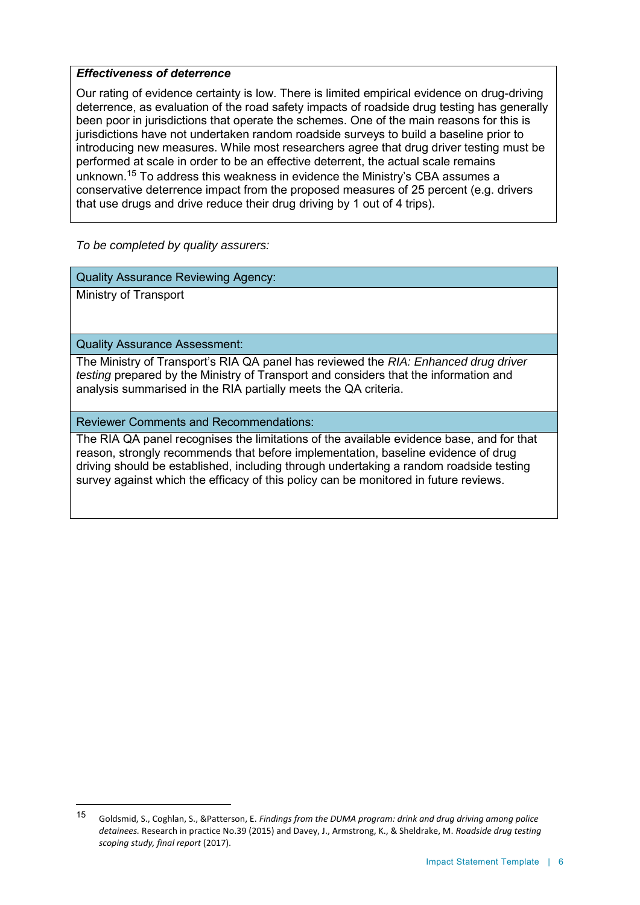#### *Effectiveness of deterrence*

Our rating of evidence certainty is low. There is limited empirical evidence on drug-driving deterrence, as evaluation of the road safety impacts of roadside drug testing has generally been poor in jurisdictions that operate the schemes. One of the main reasons for this is jurisdictions have not undertaken random roadside surveys to build a baseline prior to introducing new measures. While most researchers agree that drug driver testing must be performed at scale in order to be an effective deterrent, the actual scale remains unknown. <sup>15</sup> To address this weakness in evidence the Ministry's CBA assumes a conservative deterrence impact from the proposed measures of 25 percent (e.g. drivers that use drugs and drive reduce their drug driving by 1 out of 4 trips).

*To be completed by quality assurers:*

Quality Assurance Reviewing Agency:

Ministry of Transport

 $\overline{a}$ 

Quality Assurance Assessment:

The Ministry of Transport's RIA QA panel has reviewed the *RIA: Enhanced drug driver testing* prepared by the Ministry of Transport and considers that the information and analysis summarised in the RIA partially meets the QA criteria.

Reviewer Comments and Recommendations:

The RIA QA panel recognises the limitations of the available evidence base, and for that reason, strongly recommends that before implementation, baseline evidence of drug driving should be established, including through undertaking a random roadside testing survey against which the efficacy of this policy can be monitored in future reviews.

<sup>15</sup> Goldsmid, S., Coghlan, S., &Patterson, E. *Findings from the DUMA program: drink and drug driving among police detainees.* Research in practice No.39 (2015) and Davey, J., Armstrong, K., & Sheldrake, M. *Roadside drug testing scoping study, final report* (2017).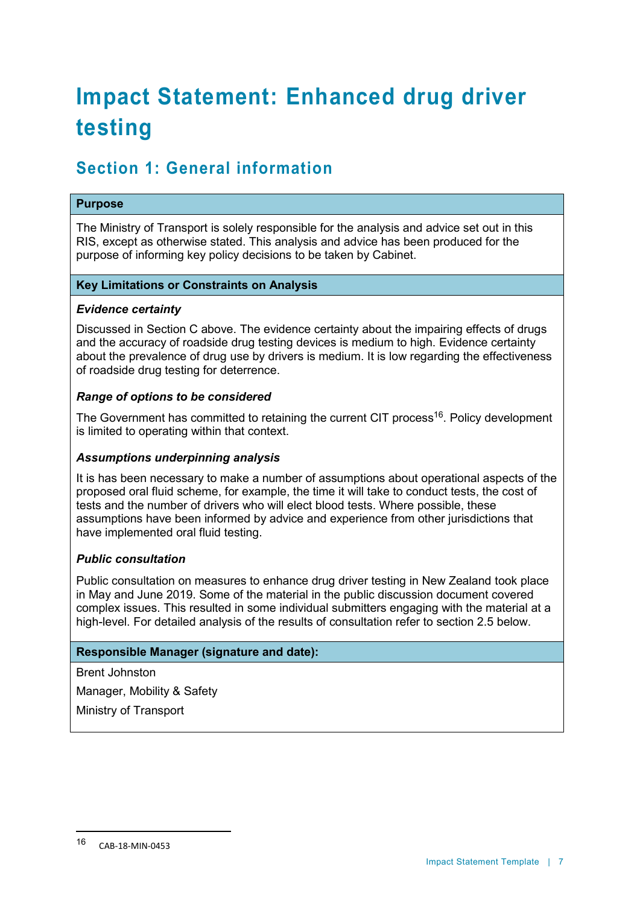# **Impact Statement: Enhanced drug driver testing**

# **Section 1: General information**

#### **Purpose**

The Ministry of Transport is solely responsible for the analysis and advice set out in this RIS, except as otherwise stated. This analysis and advice has been produced for the purpose of informing key policy decisions to be taken by Cabinet.

#### **Key Limitations or Constraints on Analysis**

#### *Evidence certainty*

Discussed in Section C above. The evidence certainty about the impairing effects of drugs and the accuracy of roadside drug testing devices is medium to high. Evidence certainty about the prevalence of drug use by drivers is medium. It is low regarding the effectiveness of roadside drug testing for deterrence.

#### *Range of options to be considered*

The Government has committed to retaining the current CIT process<sup>16</sup>. Policy development is limited to operating within that context.

#### *Assumptions underpinning analysis*

It is has been necessary to make a number of assumptions about operational aspects of the proposed oral fluid scheme, for example, the time it will take to conduct tests, the cost of tests and the number of drivers who will elect blood tests. Where possible, these assumptions have been informed by advice and experience from other jurisdictions that have implemented oral fluid testing.

#### *Public consultation*

Public consultation on measures to enhance drug driver testing in New Zealand took place in May and June 2019. Some of the material in the public discussion document covered complex issues. This resulted in some individual submitters engaging with the material at a high-level. For detailed analysis of the results of consultation refer to section 2.5 below.

#### **Responsible Manager (signature and date):**

Brent Johnston

Manager, Mobility & Safety

Ministry of Transport

 $\ddot{\phantom{a}}$ 

<sup>16</sup> CAB-18-MIN-0453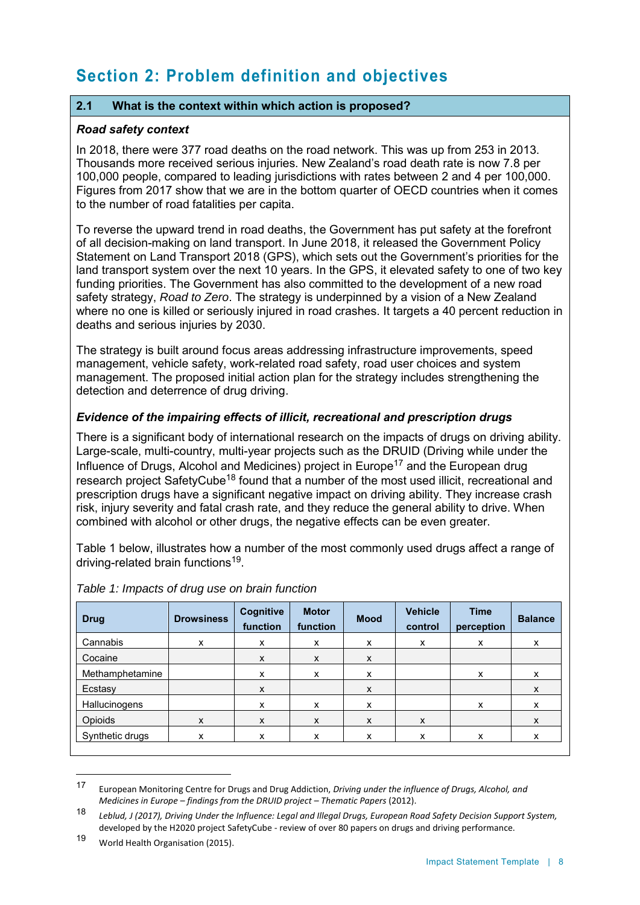# **Section 2: Problem definition and objectives**

# **2.1 What is the context within which action is proposed?**

#### *Road safety context*

In 2018, there were 377 road deaths on the road network. This was up from 253 in 2013. Thousands more received serious injuries. New Zealand's road death rate is now 7.8 per 100,000 people, compared to leading jurisdictions with rates between 2 and 4 per 100,000. Figures from 2017 show that we are in the bottom quarter of OECD countries when it comes to the number of road fatalities per capita.

To reverse the upward trend in road deaths, the Government has put safety at the forefront of all decision-making on land transport. In June 2018, it released the Government Policy Statement on Land Transport 2018 (GPS), which sets out the Government's priorities for the land transport system over the next 10 years. In the GPS, it elevated safety to one of two key funding priorities. The Government has also committed to the development of a new road safety strategy, *Road to Zero*. The strategy is underpinned by a vision of a New Zealand where no one is killed or seriously injured in road crashes. It targets a 40 percent reduction in deaths and serious injuries by 2030.

The strategy is built around focus areas addressing infrastructure improvements, speed management, vehicle safety, work-related road safety, road user choices and system management. The proposed initial action plan for the strategy includes strengthening the detection and deterrence of drug driving.

# *Evidence of the impairing effects of illicit, recreational and prescription drugs*

There is a significant body of international research on the impacts of drugs on driving ability. Large-scale, multi-country, multi-year projects such as the DRUID (Driving while under the Influence of Drugs, Alcohol and Medicines) project in Europe<sup>17</sup> and the European drug research project SafetyCube<sup>18</sup> found that a number of the most used illicit, recreational and prescription drugs have a significant negative impact on driving ability. They increase crash risk, injury severity and fatal crash rate, and they reduce the general ability to drive. When combined with alcohol or other drugs, the negative effects can be even greater.

Table 1 below, illustrates how a number of the most commonly used drugs affect a range of driving-related brain functions<sup>19</sup>.

| <b>Drug</b>     | <b>Drowsiness</b> | Cognitive<br>function | <b>Motor</b><br>function | <b>Mood</b> | <b>Vehicle</b><br>control | <b>Time</b><br>perception | <b>Balance</b> |
|-----------------|-------------------|-----------------------|--------------------------|-------------|---------------------------|---------------------------|----------------|
| Cannabis        | x                 | x                     | x                        | x           | x                         | x                         | x              |
| Cocaine         |                   | X                     | X                        | X           |                           |                           |                |
| Methamphetamine |                   | X                     | X                        | X           |                           | X                         | X              |
| Ecstasy         |                   | X                     |                          | X           |                           |                           | X              |
| Hallucinogens   |                   | X                     | X                        | X           |                           | x                         | X              |
| Opioids         | X                 | X                     | X                        | X           | X                         |                           | X              |
| Synthetic drugs | x                 | X                     | x                        | x           | x                         | х                         | x              |

#### *Table 1: Impacts of drug use on brain function*

 $\ddot{\phantom{a}}$ 

<sup>17</sup> European Monitoring Centre for Drugs and Drug Addiction, *Driving under the influence of Drugs, Alcohol, and Medicines in Europe – findings from the DRUID project – Thematic Papers* (2012).

<sup>18</sup> *Leblud, J (2017), Driving Under the Influence: Legal and Illegal Drugs, European Road Safety Decision Support System,*  developed by the H2020 project SafetyCube - review of over 80 papers on drugs and driving performance.

<sup>19</sup> World Health Organisation (2015).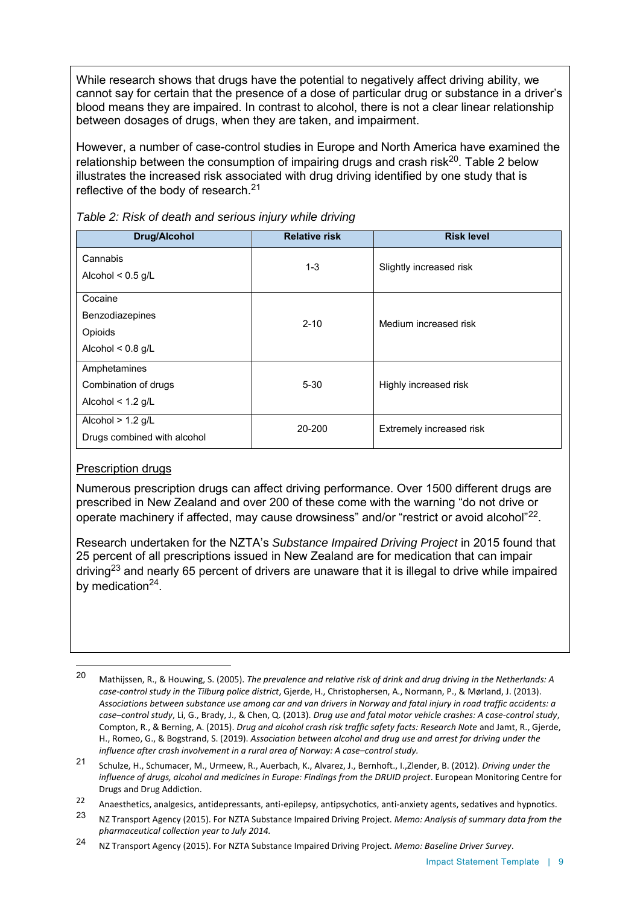While research shows that drugs have the potential to negatively affect driving ability, we cannot say for certain that the presence of a dose of particular drug or substance in a driver's blood means they are impaired. In contrast to alcohol, there is not a clear linear relationship between dosages of drugs, when they are taken, and impairment.

However, a number of case-control studies in Europe and North America have examined the relationship between the consumption of impairing drugs and crash risk $^{20}$ . Table 2 below illustrates the increased risk associated with drug driving identified by one study that is reflective of the body of research.<sup>21</sup>

| <b>Drug/Alcohol</b>                                          | <b>Relative risk</b> | <b>Risk level</b>        |
|--------------------------------------------------------------|----------------------|--------------------------|
| Cannabis<br>Alcohol $< 0.5$ g/L                              | $1 - 3$              | Slightly increased risk  |
| Cocaine<br>Benzodiazepines<br>Opioids<br>Alcohol < $0.8$ g/L | $2 - 10$             | Medium increased risk    |
| Amphetamines<br>Combination of drugs<br>Alcohol < $1.2$ g/L  | $5 - 30$             | Highly increased risk    |
| Alcohol $> 1.2$ g/L<br>Drugs combined with alcohol           | 20-200               | Extremely increased risk |

*Table 2: Risk of death and serious injury while driving*

#### Prescription drugs

 $\overline{a}$ 

Numerous prescription drugs can affect driving performance. Over 1500 different drugs are prescribed in New Zealand and over 200 of these come with the warning "do not drive or operate machinery if affected, may cause drowsiness" and/or "restrict or avoid alcohol"<sup>22</sup>.

Research undertaken for the NZTA's *Substance Impaired Driving Project* in 2015 found that 25 percent of all prescriptions issued in New Zealand are for medication that can impair driving<sup>23</sup> and nearly 65 percent of drivers are unaware that it is illegal to drive while impaired by medication<sup>24</sup>.

<sup>20</sup> Mathijssen, R., & Houwing, S. (2005). *The prevalence and relative risk of drink and drug driving in the Netherlands: A case-control study in the Tilburg police district*, Gjerde, H., Christophersen, A., Normann, P., & Mørland, J. (2013). *Associations between substance use among car and van drivers in Norway and fatal injury in road traffic accidents: a case–control study*, Li, G., Brady, J., & Chen, Q. (2013). *Drug use and fatal motor vehicle crashes: A case-control study*, Compton, R., & Berning, A. (2015). *Drug and alcohol crash risk traffic safety facts: Research Note* and Jamt, R., Gjerde, H., Romeo, G., & Bogstrand, S. (2019). *Association between alcohol and drug use and arrest for driving under the influence after crash involvement in a rural area of Norway: A case–control study.*

<sup>21</sup> Schulze, H., Schumacer, M., Urmeew, R., Auerbach, K., Alvarez, J., Bernhoft., I.,Zlender, B. (2012). *Driving under the influence of drugs, alcohol and medicines in Europe: Findings from the DRUID project*. European Monitoring Centre for Drugs and Drug Addiction.

<sup>22</sup> Anaesthetics, analgesics, antidepressants, anti-epilepsy, antipsychotics, anti-anxiety agents, sedatives and hypnotics.

<sup>23</sup> NZ Transport Agency (2015). For NZTA Substance Impaired Driving Project. *Memo: Analysis of summary data from the pharmaceutical collection year to July 2014.*

<sup>24</sup> NZ Transport Agency (2015). For NZTA Substance Impaired Driving Project. *Memo: Baseline Driver Survey*.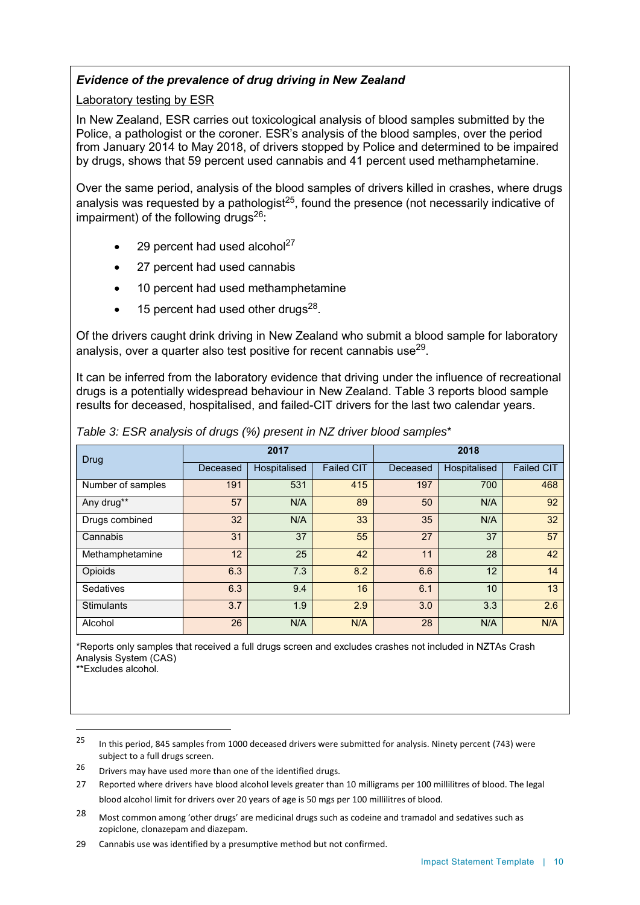# *Evidence of the prevalence of drug driving in New Zealand*

Laboratory testing by ESR

In New Zealand, ESR carries out toxicological analysis of blood samples submitted by the Police, a pathologist or the coroner. ESR's analysis of the blood samples, over the period from January 2014 to May 2018, of drivers stopped by Police and determined to be impaired by drugs, shows that 59 percent used cannabis and 41 percent used methamphetamine.

Over the same period, analysis of the blood samples of drivers killed in crashes, where drugs analysis was requested by a pathologist<sup>25</sup>, found the presence (not necessarily indicative of impairment) of the following drugs $26$ :

- 29 percent had used alcohol<sup>27</sup>
- 27 percent had used cannabis
- 10 percent had used methamphetamine
- $\bullet$  15 percent had used other drugs<sup>28</sup>.

Of the drivers caught drink driving in New Zealand who submit a blood sample for laboratory analysis, over a quarter also test positive for recent cannabis use $^{29}\!$ .

It can be inferred from the laboratory evidence that driving under the influence of recreational drugs is a potentially widespread behaviour in New Zealand. Table 3 reports blood sample results for deceased, hospitalised, and failed-CIT drivers for the last two calendar years.

| Drug              | 2017     |              |                   | 2018     |              |                   |
|-------------------|----------|--------------|-------------------|----------|--------------|-------------------|
|                   | Deceased | Hospitalised | <b>Failed CIT</b> | Deceased | Hospitalised | <b>Failed CIT</b> |
| Number of samples | 191      | 531          | 415               | 197      | 700          | 468               |
| Any drug**        | 57       | N/A          | 89                | 50       | N/A          | 92                |
| Drugs combined    | 32       | N/A          | 33                | 35       | N/A          | 32                |
| Cannabis          | 31       | 37           | 55                | 27       | 37           | 57                |
| Methamphetamine   | 12       | 25           | 42                | 11       | 28           | 42                |
| Opioids           | 6.3      | 7.3          | 8.2               | 6.6      | 12           | 14                |
| <b>Sedatives</b>  | 6.3      | 9.4          | 16                | 6.1      | 10           | 13                |
| <b>Stimulants</b> | 3.7      | 1.9          | 2.9               | 3.0      | 3.3          | 2.6               |
| Alcohol           | 26       | N/A          | N/A               | 28       | N/A          | N/A               |

*Table 3: ESR analysis of drugs (%) present in NZ driver blood samples*\*

\*Reports only samples that received a full drugs screen and excludes crashes not included in NZTAs Crash Analysis System (CAS)

\*\*Excludes alcohol.

 $\overline{a}$ 

28 Most common among 'other drugs' are medicinal drugs such as codeine and tramadol and sedatives such as zopiclone, clonazepam and diazepam.

<sup>25</sup> In this period, 845 samples from 1000 deceased drivers were submitted for analysis. Ninety percent (743) were subject to a full drugs screen.

 $26$  Drivers may have used more than one of the identified drugs.

<sup>27</sup> Reported where drivers have blood alcohol levels greater than 10 milligrams per 100 millilitres of blood. The legal blood alcohol limit for drivers over 20 years of age is 50 mgs per 100 millilitres of blood.

<sup>29</sup> Cannabis use was identified by a presumptive method but not confirmed.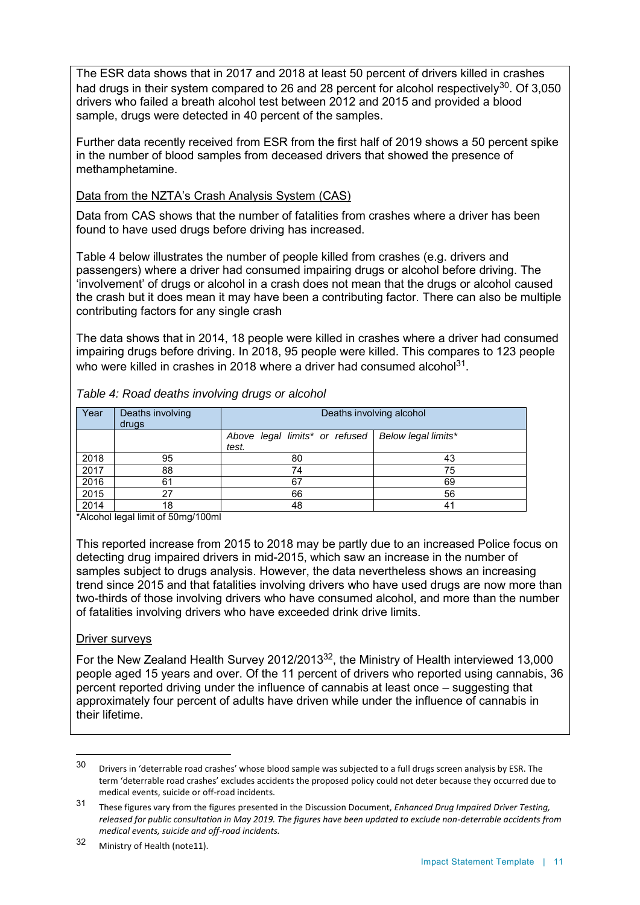The ESR data shows that in 2017 and 2018 at least 50 percent of drivers killed in crashes had drugs in their system compared to 26 and 28 percent for alcohol respectively $^{30}$ . Of 3,050 drivers who failed a breath alcohol test between 2012 and 2015 and provided a blood sample, drugs were detected in 40 percent of the samples.

Further data recently received from ESR from the first half of 2019 shows a 50 percent spike in the number of blood samples from deceased drivers that showed the presence of methamphetamine.

#### Data from the NZTA's Crash Analysis System (CAS)

Data from CAS shows that the number of fatalities from crashes where a driver has been found to have used drugs before driving has increased.

Table 4 below illustrates the number of people killed from crashes (e.g. drivers and passengers) where a driver had consumed impairing drugs or alcohol before driving. The 'involvement' of drugs or alcohol in a crash does not mean that the drugs or alcohol caused the crash but it does mean it may have been a contributing factor. There can also be multiple contributing factors for any single crash

The data shows that in 2014, 18 people were killed in crashes where a driver had consumed impairing drugs before driving. In 2018, 95 people were killed. This compares to 123 people who were killed in crashes in 2018 where a driver had consumed alcohol $^{\rm 31}$ .

| Year | Deaths involving<br>drugs |                                                               | Deaths involving alcohol |
|------|---------------------------|---------------------------------------------------------------|--------------------------|
|      |                           | Above legal limits* or refused   Below legal limits*<br>test. |                          |
| 2018 | 95                        | 80                                                            | 43                       |
| 2017 | 88                        | 74                                                            | 75                       |
| 2016 | 61                        | 67                                                            | 69                       |
| 2015 | 27                        | 66                                                            | 56                       |
| 2014 | 18                        | 48                                                            | 41                       |

*Table 4: Road deaths involving drugs or alcohol* 

\*Alcohol legal limit of 50mg/100ml

This reported increase from 2015 to 2018 may be partly due to an increased Police focus on detecting drug impaired drivers in mid-2015, which saw an increase in the number of samples subject to drugs analysis. However, the data nevertheless shows an increasing trend since 2015 and that fatalities involving drivers who have used drugs are now more than two-thirds of those involving drivers who have consumed alcohol, and more than the number of fatalities involving drivers who have exceeded drink drive limits.

#### Driver surveys

 $\overline{a}$ 

For the New Zealand Health Survey 2012/2013<sup>32</sup>, the Ministry of Health interviewed 13,000 people aged 15 years and over. Of the 11 percent of drivers who reported using cannabis, 36 percent reported driving under the influence of cannabis at least once – suggesting that approximately four percent of adults have driven while under the influence of cannabis in their lifetime.

<sup>30</sup> Drivers in 'deterrable road crashes' whose blood sample was subjected to a full drugs screen analysis by ESR. The term 'deterrable road crashes' excludes accidents the proposed policy could not deter because they occurred due to medical events, suicide or off-road incidents.

<sup>31</sup> These figures vary from the figures presented in the Discussion Document, *Enhanced Drug Impaired Driver Testing, released for public consultation in May 2019. The figures have been updated to exclude non-deterrable accidents from medical events, suicide and off-road incidents.*

<sup>32</sup> Ministry of Health (note11).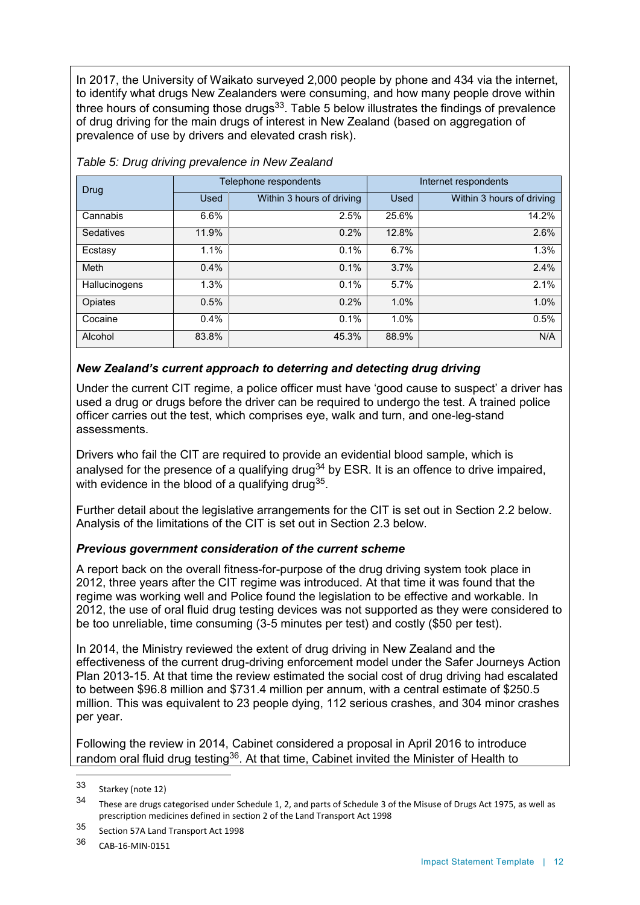In 2017, the University of Waikato surveyed 2,000 people by phone and 434 via the internet, to identify what drugs New Zealanders were consuming, and how many people drove within three hours of consuming those drugs $^{33}$ . Table 5 below illustrates the findings of prevalence of drug driving for the main drugs of interest in New Zealand (based on aggregation of prevalence of use by drivers and elevated crash risk).

| Drug          |       | Telephone respondents     | Internet respondents |                           |  |
|---------------|-------|---------------------------|----------------------|---------------------------|--|
|               | Used  | Within 3 hours of driving | Used                 | Within 3 hours of driving |  |
| Cannabis      | 6.6%  | 2.5%                      | 25.6%                | 14.2%                     |  |
| Sedatives     | 11.9% | 0.2%                      | 12.8%                | 2.6%                      |  |
| Ecstasy       | 1.1%  | 0.1%                      | 6.7%                 | 1.3%                      |  |
| Meth          | 0.4%  | 0.1%                      | 3.7%                 | 2.4%                      |  |
| Hallucinogens | 1.3%  | 0.1%                      | 5.7%                 | 2.1%                      |  |
| Opiates       | 0.5%  | 0.2%                      | 1.0%                 | 1.0%                      |  |
| Cocaine       | 0.4%  | 0.1%                      | 1.0%                 | 0.5%                      |  |
| Alcohol       | 83.8% | 45.3%                     | 88.9%                | N/A                       |  |

*Table 5: Drug driving prevalence in New Zealand*

# *New Zealand's current approach to deterring and detecting drug driving*

Under the current CIT regime, a police officer must have 'good cause to suspect' a driver has used a drug or drugs before the driver can be required to undergo the test. A trained police officer carries out the test, which comprises eye, walk and turn, and one-leg-stand assessments.

Drivers who fail the CIT are required to provide an evidential blood sample, which is analysed for the presence of a qualifying drug<sup>34</sup> by ESR. It is an offence to drive impaired, with evidence in the blood of a qualifying drug $^{35}.$ 

Further detail about the legislative arrangements for the CIT is set out in Section 2.2 below. Analysis of the limitations of the CIT is set out in Section 2.3 below.

#### *Previous government consideration of the current scheme*

A report back on the overall fitness-for-purpose of the drug driving system took place in 2012, three years after the CIT regime was introduced. At that time it was found that the regime was working well and Police found the legislation to be effective and workable. In 2012, the use of oral fluid drug testing devices was not supported as they were considered to be too unreliable, time consuming (3-5 minutes per test) and costly (\$50 per test).

In 2014, the Ministry reviewed the extent of drug driving in New Zealand and the effectiveness of the current drug-driving enforcement model under the Safer Journeys Action Plan 2013-15. At that time the review estimated the social cost of drug driving had escalated to between \$96.8 million and \$731.4 million per annum, with a central estimate of \$250.5 million. This was equivalent to 23 people dying, 112 serious crashes, and 304 minor crashes per year.

Following the review in 2014, Cabinet considered a proposal in April 2016 to introduce random oral fluid drug testing<sup>36</sup>. At that time, Cabinet invited the Minister of Health to

 $\overline{a}$ 

<sup>33</sup> Starkey (note 12)

<sup>34</sup> These are drugs categorised under Schedule 1, 2, and parts of Schedule 3 of the Misuse of Drugs Act 1975, as well as prescription medicines defined in section 2 of the Land Transport Act 1998

<sup>35</sup> Section 57A Land Transport Act 1998

<sup>36</sup> CAB-16-MIN-0151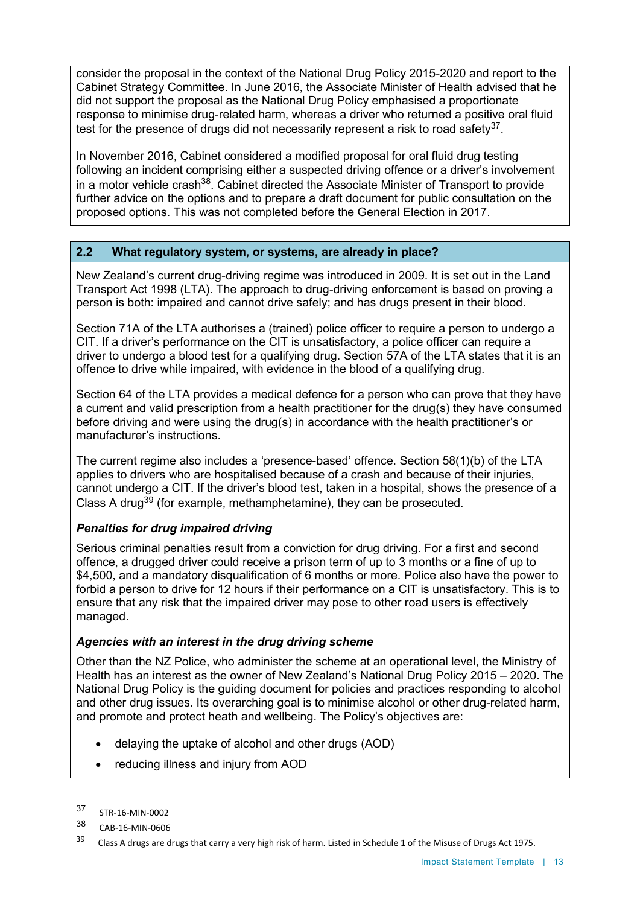consider the proposal in the context of the National Drug Policy 2015-2020 and report to the Cabinet Strategy Committee. In June 2016, the Associate Minister of Health advised that he did not support the proposal as the National Drug Policy emphasised a proportionate response to minimise drug-related harm, whereas a driver who returned a positive oral fluid test for the presence of drugs did not necessarily represent a risk to road safety $^{37}.$ 

In November 2016, Cabinet considered a modified proposal for oral fluid drug testing following an incident comprising either a suspected driving offence or a driver's involvement in a motor vehicle crash $^{38}$ . Cabinet directed the Associate Minister of Transport to provide further advice on the options and to prepare a draft document for public consultation on the proposed options. This was not completed before the General Election in 2017.

# **2.2 What regulatory system, or systems, are already in place?**

New Zealand's current drug-driving regime was introduced in 2009. It is set out in the Land Transport Act 1998 (LTA). The approach to drug-driving enforcement is based on proving a person is both: impaired and cannot drive safely; and has drugs present in their blood.

Section 71A of the LTA authorises a (trained) police officer to require a person to undergo a CIT. If a driver's performance on the CIT is unsatisfactory, a police officer can require a driver to undergo a blood test for a qualifying drug. Section 57A of the LTA states that it is an offence to drive while impaired, with evidence in the blood of a qualifying drug.

Section 64 of the LTA provides a medical defence for a person who can prove that they have a current and valid prescription from a health practitioner for the drug(s) they have consumed before driving and were using the drug(s) in accordance with the health practitioner's or manufacturer's instructions.

The current regime also includes a 'presence-based' offence. Section 58(1)(b) of the LTA applies to drivers who are hospitalised because of a crash and because of their injuries, cannot undergo a CIT. If the driver's blood test, taken in a hospital, shows the presence of a Class A drug<sup>39</sup> (for example, methamphetamine), they can be prosecuted.

# *Penalties for drug impaired driving*

Serious criminal penalties result from a conviction for drug driving. For a first and second offence, a drugged driver could receive a prison term of up to 3 months or a fine of up to \$4,500, and a mandatory disqualification of 6 months or more. Police also have the power to forbid a person to drive for 12 hours if their performance on a CIT is unsatisfactory. This is to ensure that any risk that the impaired driver may pose to other road users is effectively managed.

#### *Agencies with an interest in the drug driving scheme*

Other than the NZ Police, who administer the scheme at an operational level, the Ministry of Health has an interest as the owner of New Zealand's National Drug Policy 2015 – 2020. The National Drug Policy is the guiding document for policies and practices responding to alcohol and other drug issues. Its overarching goal is to minimise alcohol or other drug-related harm, and promote and protect heath and wellbeing. The Policy's objectives are:

- delaying the uptake of alcohol and other drugs (AOD)
- reducing illness and injury from AOD

 $\overline{a}$ 

<sup>37</sup> STR-16-MIN-0002

<sup>38</sup> CAB-16-MIN-0606

<sup>39</sup> Class A drugs are drugs that carry a very high risk of harm. Listed in Schedule 1 of the Misuse of Drugs Act 1975.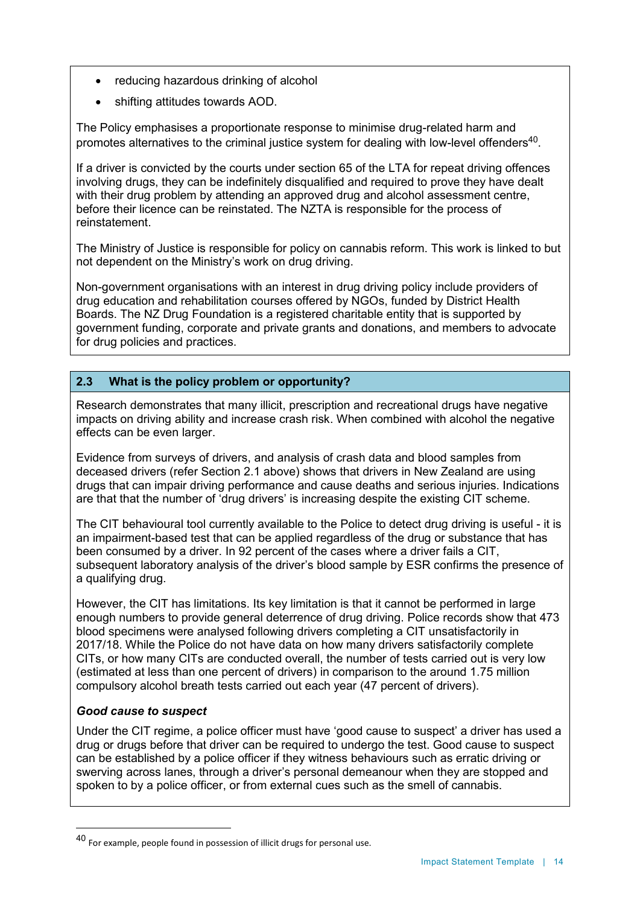- reducing hazardous drinking of alcohol
- shifting attitudes towards AOD.

The Policy emphasises a proportionate response to minimise drug-related harm and promotes alternatives to the criminal justice system for dealing with low-level offenders $^{\rm 40}$ .

If a driver is convicted by the courts under section 65 of the LTA for repeat driving offences involving drugs, they can be indefinitely disqualified and required to prove they have dealt with their drug problem by attending an approved drug and alcohol assessment centre, before their licence can be reinstated. The NZTA is responsible for the process of reinstatement.

The Ministry of Justice is responsible for policy on cannabis reform. This work is linked to but not dependent on the Ministry's work on drug driving.

Non-government organisations with an interest in drug driving policy include providers of drug education and rehabilitation courses offered by NGOs, funded by District Health Boards. The NZ Drug Foundation is a registered charitable entity that is supported by government funding, corporate and private grants and donations, and members to advocate for drug policies and practices.

# **2.3 What is the policy problem or opportunity?**

Research demonstrates that many illicit, prescription and recreational drugs have negative impacts on driving ability and increase crash risk. When combined with alcohol the negative effects can be even larger.

Evidence from surveys of drivers, and analysis of crash data and blood samples from deceased drivers (refer Section 2.1 above) shows that drivers in New Zealand are using drugs that can impair driving performance and cause deaths and serious injuries. Indications are that that the number of 'drug drivers' is increasing despite the existing CIT scheme.

The CIT behavioural tool currently available to the Police to detect drug driving is useful - it is an impairment-based test that can be applied regardless of the drug or substance that has been consumed by a driver. In 92 percent of the cases where a driver fails a CIT, subsequent laboratory analysis of the driver's blood sample by ESR confirms the presence of a qualifying drug.

However, the CIT has limitations. Its key limitation is that it cannot be performed in large enough numbers to provide general deterrence of drug driving. Police records show that 473 blood specimens were analysed following drivers completing a CIT unsatisfactorily in 2017/18. While the Police do not have data on how many drivers satisfactorily complete CITs, or how many CITs are conducted overall, the number of tests carried out is very low (estimated at less than one percent of drivers) in comparison to the around 1.75 million compulsory alcohol breath tests carried out each year (47 percent of drivers).

#### *Good cause to suspect*

 $\ddot{\phantom{a}}$ 

Under the CIT regime, a police officer must have 'good cause to suspect' a driver has used a drug or drugs before that driver can be required to undergo the test. Good cause to suspect can be established by a police officer if they witness behaviours such as erratic driving or swerving across lanes, through a driver's personal demeanour when they are stopped and spoken to by a police officer, or from external cues such as the smell of cannabis.

<sup>40</sup> For example, people found in possession of illicit drugs for personal use.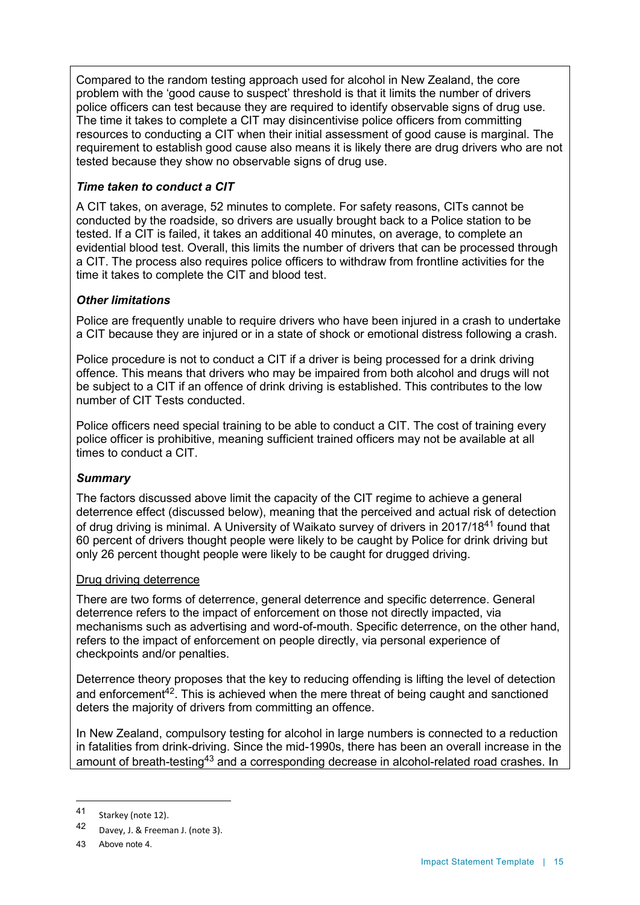Compared to the random testing approach used for alcohol in New Zealand, the core problem with the 'good cause to suspect' threshold is that it limits the number of drivers police officers can test because they are required to identify observable signs of drug use. The time it takes to complete a CIT may disincentivise police officers from committing resources to conducting a CIT when their initial assessment of good cause is marginal. The requirement to establish good cause also means it is likely there are drug drivers who are not tested because they show no observable signs of drug use.

# *Time taken to conduct a CIT*

A CIT takes, on average, 52 minutes to complete. For safety reasons, CITs cannot be conducted by the roadside, so drivers are usually brought back to a Police station to be tested. If a CIT is failed, it takes an additional 40 minutes, on average, to complete an evidential blood test. Overall, this limits the number of drivers that can be processed through a CIT. The process also requires police officers to withdraw from frontline activities for the time it takes to complete the CIT and blood test.

# *Other limitations*

Police are frequently unable to require drivers who have been injured in a crash to undertake a CIT because they are injured or in a state of shock or emotional distress following a crash.

Police procedure is not to conduct a CIT if a driver is being processed for a drink driving offence. This means that drivers who may be impaired from both alcohol and drugs will not be subject to a CIT if an offence of drink driving is established. This contributes to the low number of CIT Tests conducted.

Police officers need special training to be able to conduct a CIT. The cost of training every police officer is prohibitive, meaning sufficient trained officers may not be available at all times to conduct a CIT.

# *Summary*

The factors discussed above limit the capacity of the CIT regime to achieve a general deterrence effect (discussed below), meaning that the perceived and actual risk of detection of drug driving is minimal. A University of Waikato survey of drivers in 2017/18<sup>41</sup> found that 60 percent of drivers thought people were likely to be caught by Police for drink driving but only 26 percent thought people were likely to be caught for drugged driving.

# Drug driving deterrence

There are two forms of deterrence, general deterrence and specific deterrence. General deterrence refers to the impact of enforcement on those not directly impacted, via mechanisms such as advertising and word-of-mouth. Specific deterrence, on the other hand, refers to the impact of enforcement on people directly, via personal experience of checkpoints and/or penalties.

Deterrence theory proposes that the key to reducing offending is lifting the level of detection and enforcement $42$ . This is achieved when the mere threat of being caught and sanctioned deters the majority of drivers from committing an offence.

In New Zealand, compulsory testing for alcohol in large numbers is connected to a reduction in fatalities from drink-driving. Since the mid-1990s, there has been an overall increase in the amount of breath-testing<sup>43</sup> and a corresponding decrease in alcohol-related road crashes. In

 $\ddot{\phantom{a}}$ 

<sup>41</sup> Starkey (note 12).

<sup>42</sup> Davey, J. & Freeman J. (note 3).

<sup>43</sup> Above note 4.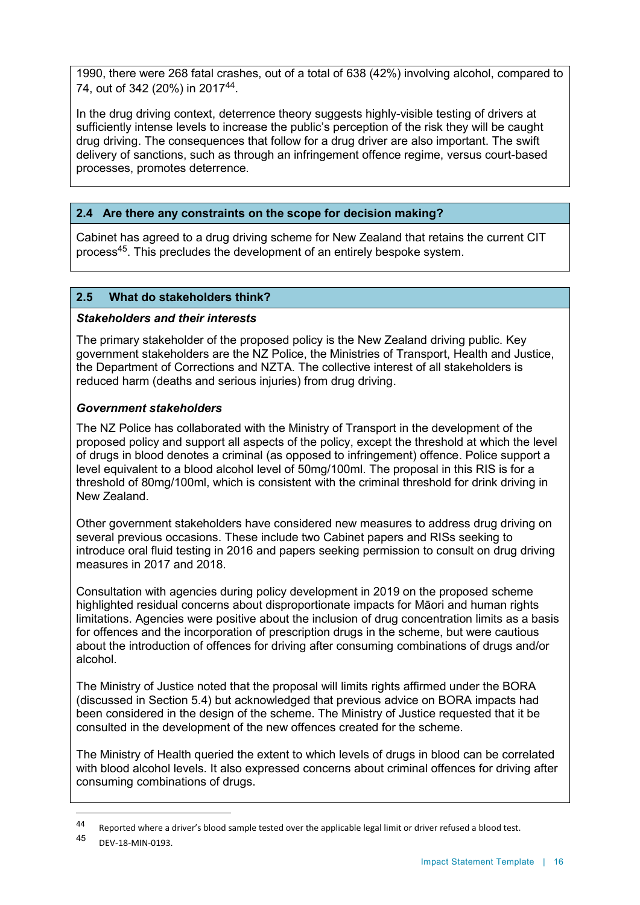1990, there were 268 fatal crashes, out of a total of 638 (42%) involving alcohol, compared to 74, out of 342 (20%) in 2017<sup>44</sup>.

In the drug driving context, deterrence theory suggests highly-visible testing of drivers at sufficiently intense levels to increase the public's perception of the risk they will be caught drug driving. The consequences that follow for a drug driver are also important. The swift delivery of sanctions, such as through an infringement offence regime, versus court-based processes, promotes deterrence.

# **2.4 Are there any constraints on the scope for decision making?**

Cabinet has agreed to a drug driving scheme for New Zealand that retains the current CIT process<sup>45</sup> . This precludes the development of an entirely bespoke system.

# **2.5 What do stakeholders think?**

# *Stakeholders and their interests*

The primary stakeholder of the proposed policy is the New Zealand driving public. Key government stakeholders are the NZ Police, the Ministries of Transport, Health and Justice, the Department of Corrections and NZTA. The collective interest of all stakeholders is reduced harm (deaths and serious injuries) from drug driving.

# *Government stakeholders*

The NZ Police has collaborated with the Ministry of Transport in the development of the proposed policy and support all aspects of the policy, except the threshold at which the level of drugs in blood denotes a criminal (as opposed to infringement) offence. Police support a level equivalent to a blood alcohol level of 50mg/100ml. The proposal in this RIS is for a threshold of 80mg/100ml, which is consistent with the criminal threshold for drink driving in New Zealand.

Other government stakeholders have considered new measures to address drug driving on several previous occasions. These include two Cabinet papers and RISs seeking to introduce oral fluid testing in 2016 and papers seeking permission to consult on drug driving measures in 2017 and 2018.

Consultation with agencies during policy development in 2019 on the proposed scheme highlighted residual concerns about disproportionate impacts for Māori and human rights limitations. Agencies were positive about the inclusion of drug concentration limits as a basis for offences and the incorporation of prescription drugs in the scheme, but were cautious about the introduction of offences for driving after consuming combinations of drugs and/or alcohol.

The Ministry of Justice noted that the proposal will limits rights affirmed under the BORA (discussed in Section 5.4) but acknowledged that previous advice on BORA impacts had been considered in the design of the scheme. The Ministry of Justice requested that it be consulted in the development of the new offences created for the scheme.

The Ministry of Health queried the extent to which levels of drugs in blood can be correlated with blood alcohol levels. It also expressed concerns about criminal offences for driving after consuming combinations of drugs.

 $\overline{a}$ 

<sup>44</sup> Reported where a driver's blood sample tested over the applicable legal limit or driver refused a blood test.<br>45 PEM 18 MIN 0103

DEV-18-MIN-0193.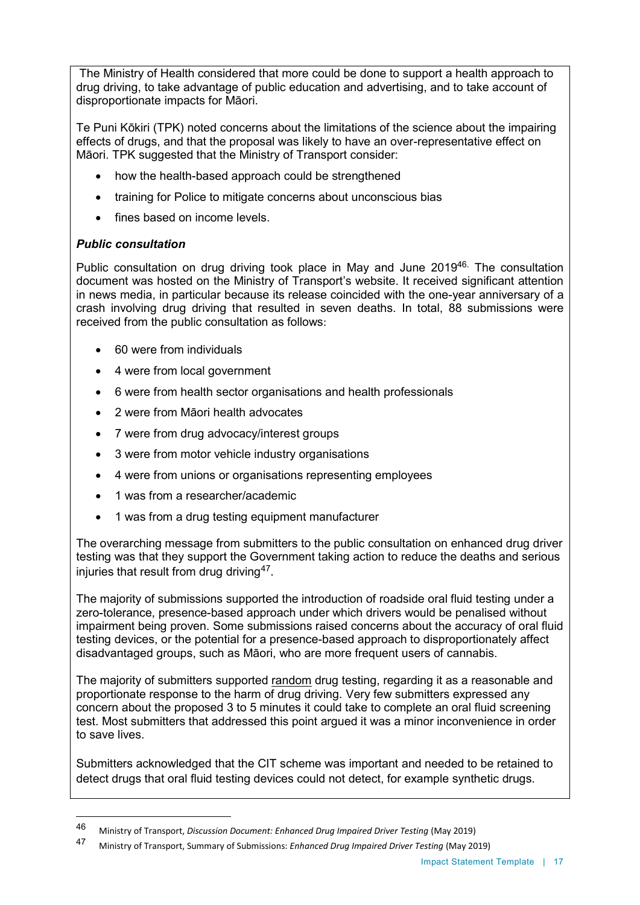The Ministry of Health considered that more could be done to support a health approach to drug driving, to take advantage of public education and advertising, and to take account of disproportionate impacts for Māori.

Te Puni Kōkiri (TPK) noted concerns about the limitations of the science about the impairing effects of drugs, and that the proposal was likely to have an over-representative effect on Māori. TPK suggested that the Ministry of Transport consider:

- how the health-based approach could be strengthened
- training for Police to mitigate concerns about unconscious bias
- fines based on income levels.

# *Public consultation*

 $\ddot{\phantom{a}}$ 

Public consultation on drug driving took place in May and June 2019<sup>46.</sup> The consultation document was hosted on the Ministry of Transport's website. It received significant attention in news media, in particular because its release coincided with the one-year anniversary of a crash involving drug driving that resulted in seven deaths. In total, 88 submissions were received from the public consultation as follows:

- 60 were from individuals
- 4 were from local government
- 6 were from health sector organisations and health professionals
- 2 were from Māori health advocates
- 7 were from drug advocacy/interest groups
- 3 were from motor vehicle industry organisations
- 4 were from unions or organisations representing employees
- 1 was from a researcher/academic
- 1 was from a drug testing equipment manufacturer

The overarching message from submitters to the public consultation on enhanced drug driver testing was that they support the Government taking action to reduce the deaths and serious injuries that result from drug driving $^{47}.$ 

The majority of submissions supported the introduction of roadside oral fluid testing under a zero-tolerance, presence-based approach under which drivers would be penalised without impairment being proven. Some submissions raised concerns about the accuracy of oral fluid testing devices, or the potential for a presence-based approach to disproportionately affect disadvantaged groups, such as Māori, who are more frequent users of cannabis.

The majority of submitters supported random drug testing, regarding it as a reasonable and proportionate response to the harm of drug driving. Very few submitters expressed any concern about the proposed 3 to 5 minutes it could take to complete an oral fluid screening test. Most submitters that addressed this point argued it was a minor inconvenience in order to save lives.

Submitters acknowledged that the CIT scheme was important and needed to be retained to detect drugs that oral fluid testing devices could not detect, for example synthetic drugs.

<sup>46</sup> Ministry of Transport, *Discussion Document: Enhanced Drug Impaired Driver Testing* (May 2019)

<sup>47</sup> Ministry of Transport, Summary of Submissions: *Enhanced Drug Impaired Driver Testing* (May 2019)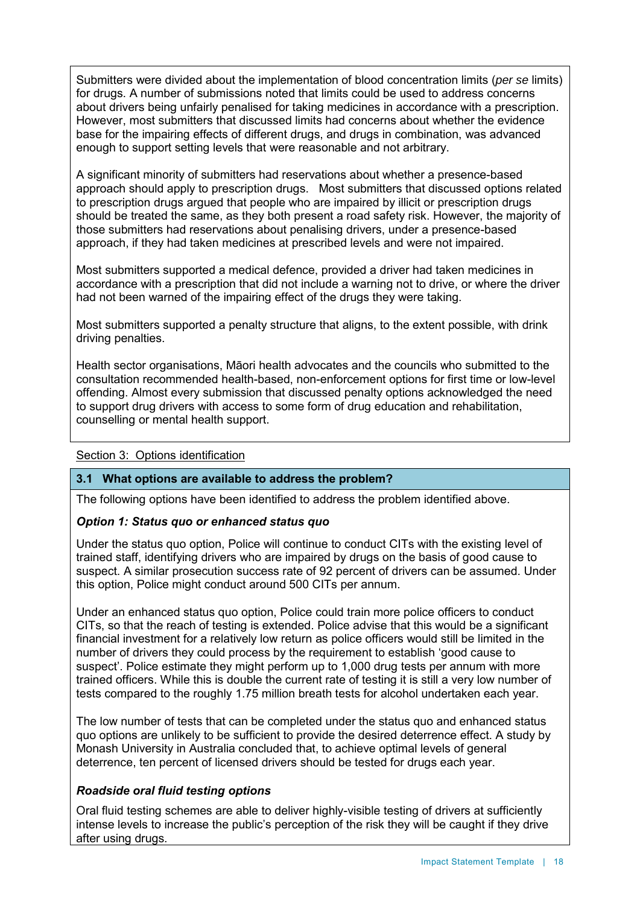Submitters were divided about the implementation of blood concentration limits (*per se* limits) for drugs. A number of submissions noted that limits could be used to address concerns about drivers being unfairly penalised for taking medicines in accordance with a prescription. However, most submitters that discussed limits had concerns about whether the evidence base for the impairing effects of different drugs, and drugs in combination, was advanced enough to support setting levels that were reasonable and not arbitrary.

A significant minority of submitters had reservations about whether a presence-based approach should apply to prescription drugs. Most submitters that discussed options related to prescription drugs argued that people who are impaired by illicit or prescription drugs should be treated the same, as they both present a road safety risk. However, the majority of those submitters had reservations about penalising drivers, under a presence-based approach, if they had taken medicines at prescribed levels and were not impaired.

Most submitters supported a medical defence, provided a driver had taken medicines in accordance with a prescription that did not include a warning not to drive, or where the driver had not been warned of the impairing effect of the drugs they were taking.

Most submitters supported a penalty structure that aligns, to the extent possible, with drink driving penalties.

Health sector organisations, Māori health advocates and the councils who submitted to the consultation recommended health-based, non-enforcement options for first time or low-level offending. Almost every submission that discussed penalty options acknowledged the need to support drug drivers with access to some form of drug education and rehabilitation, counselling or mental health support.

#### Section 3: Options identification

#### **3.1 What options are available to address the problem?**

The following options have been identified to address the problem identified above.

# *Option 1: Status quo or enhanced status quo*

Under the status quo option, Police will continue to conduct CITs with the existing level of trained staff, identifying drivers who are impaired by drugs on the basis of good cause to suspect. A similar prosecution success rate of 92 percent of drivers can be assumed. Under this option, Police might conduct around 500 CITs per annum.

Under an enhanced status quo option, Police could train more police officers to conduct CITs, so that the reach of testing is extended. Police advise that this would be a significant financial investment for a relatively low return as police officers would still be limited in the number of drivers they could process by the requirement to establish 'good cause to suspect'. Police estimate they might perform up to 1,000 drug tests per annum with more trained officers. While this is double the current rate of testing it is still a very low number of tests compared to the roughly 1.75 million breath tests for alcohol undertaken each year.

The low number of tests that can be completed under the status quo and enhanced status quo options are unlikely to be sufficient to provide the desired deterrence effect. A study by Monash University in Australia concluded that, to achieve optimal levels of general deterrence, ten percent of licensed drivers should be tested for drugs each year.

# *Roadside oral fluid testing options*

Oral fluid testing schemes are able to deliver highly-visible testing of drivers at sufficiently intense levels to increase the public's perception of the risk they will be caught if they drive after using drugs.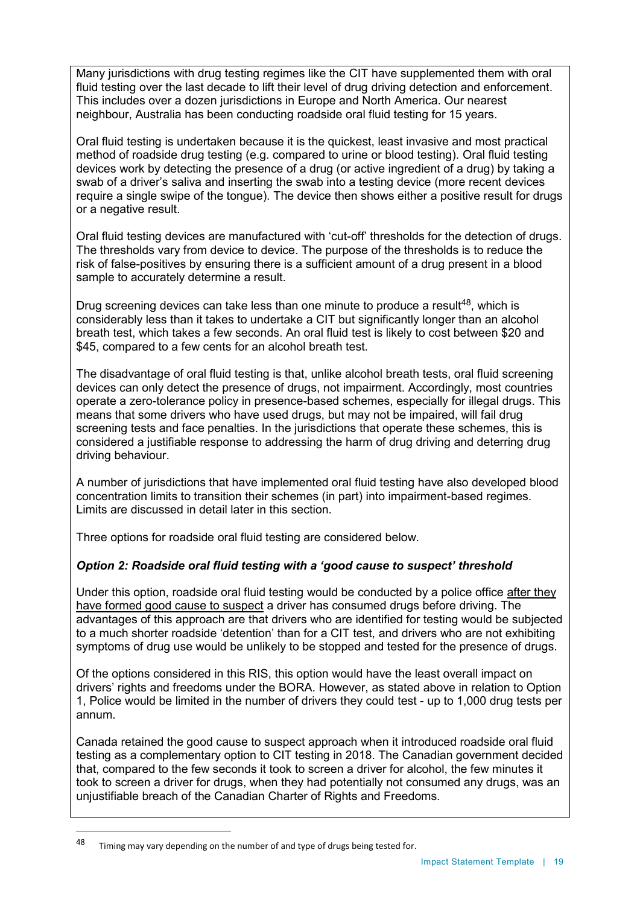Many jurisdictions with drug testing regimes like the CIT have supplemented them with oral fluid testing over the last decade to lift their level of drug driving detection and enforcement. This includes over a dozen jurisdictions in Europe and North America. Our nearest neighbour, Australia has been conducting roadside oral fluid testing for 15 years.

Oral fluid testing is undertaken because it is the quickest, least invasive and most practical method of roadside drug testing (e.g. compared to urine or blood testing). Oral fluid testing devices work by detecting the presence of a drug (or active ingredient of a drug) by taking a swab of a driver's saliva and inserting the swab into a testing device (more recent devices require a single swipe of the tongue). The device then shows either a positive result for drugs or a negative result.

Oral fluid testing devices are manufactured with 'cut-off' thresholds for the detection of drugs. The thresholds vary from device to device. The purpose of the thresholds is to reduce the risk of false-positives by ensuring there is a sufficient amount of a drug present in a blood sample to accurately determine a result.

Drug screening devices can take less than one minute to produce a result<sup>48</sup>, which is considerably less than it takes to undertake a CIT but significantly longer than an alcohol breath test, which takes a few seconds. An oral fluid test is likely to cost between \$20 and \$45, compared to a few cents for an alcohol breath test.

The disadvantage of oral fluid testing is that, unlike alcohol breath tests, oral fluid screening devices can only detect the presence of drugs, not impairment. Accordingly, most countries operate a zero-tolerance policy in presence-based schemes, especially for illegal drugs. This means that some drivers who have used drugs, but may not be impaired, will fail drug screening tests and face penalties. In the jurisdictions that operate these schemes, this is considered a justifiable response to addressing the harm of drug driving and deterring drug driving behaviour.

A number of jurisdictions that have implemented oral fluid testing have also developed blood concentration limits to transition their schemes (in part) into impairment-based regimes. Limits are discussed in detail later in this section.

Three options for roadside oral fluid testing are considered below.

# *Option 2: Roadside oral fluid testing with a 'good cause to suspect' threshold*

Under this option, roadside oral fluid testing would be conducted by a police office after they have formed good cause to suspect a driver has consumed drugs before driving. The advantages of this approach are that drivers who are identified for testing would be subjected to a much shorter roadside 'detention' than for a CIT test, and drivers who are not exhibiting symptoms of drug use would be unlikely to be stopped and tested for the presence of drugs.

Of the options considered in this RIS, this option would have the least overall impact on drivers' rights and freedoms under the BORA. However, as stated above in relation to Option 1, Police would be limited in the number of drivers they could test - up to 1,000 drug tests per annum.

Canada retained the good cause to suspect approach when it introduced roadside oral fluid testing as a complementary option to CIT testing in 2018. The Canadian government decided that, compared to the few seconds it took to screen a driver for alcohol, the few minutes it took to screen a driver for drugs, when they had potentially not consumed any drugs, was an uniustifiable breach of the Canadian Charter of Rights and Freedoms.

 $\overline{a}$ 

<sup>48</sup> Timing may vary depending on the number of and type of drugs being tested for.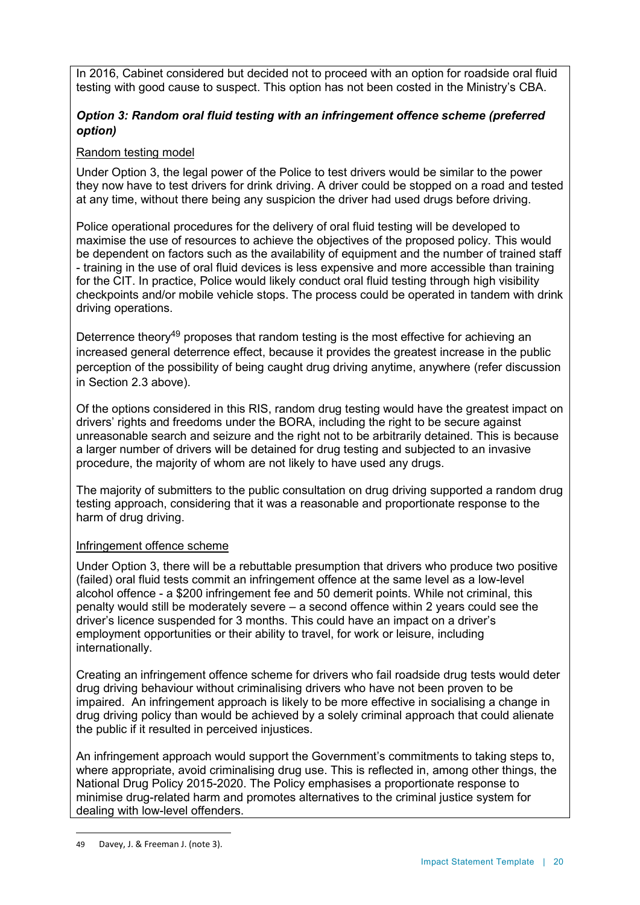In 2016, Cabinet considered but decided not to proceed with an option for roadside oral fluid testing with good cause to suspect. This option has not been costed in the Ministry's CBA.

# *Option 3: Random oral fluid testing with an infringement offence scheme (preferred option)*

# Random testing model

Under Option 3, the legal power of the Police to test drivers would be similar to the power they now have to test drivers for drink driving. A driver could be stopped on a road and tested at any time, without there being any suspicion the driver had used drugs before driving.

Police operational procedures for the delivery of oral fluid testing will be developed to maximise the use of resources to achieve the objectives of the proposed policy. This would be dependent on factors such as the availability of equipment and the number of trained staff - training in the use of oral fluid devices is less expensive and more accessible than training for the CIT. In practice, Police would likely conduct oral fluid testing through high visibility checkpoints and/or mobile vehicle stops. The process could be operated in tandem with drink driving operations.

Deterrence theory<sup>49</sup> proposes that random testing is the most effective for achieving an increased general deterrence effect, because it provides the greatest increase in the public perception of the possibility of being caught drug driving anytime, anywhere (refer discussion in Section 2.3 above).

Of the options considered in this RIS, random drug testing would have the greatest impact on drivers' rights and freedoms under the BORA, including the right to be secure against unreasonable search and seizure and the right not to be arbitrarily detained. This is because a larger number of drivers will be detained for drug testing and subjected to an invasive procedure, the majority of whom are not likely to have used any drugs.

The majority of submitters to the public consultation on drug driving supported a random drug testing approach, considering that it was a reasonable and proportionate response to the harm of drug driving.

#### Infringement offence scheme

Under Option 3, there will be a rebuttable presumption that drivers who produce two positive (failed) oral fluid tests commit an infringement offence at the same level as a low-level alcohol offence - a \$200 infringement fee and 50 demerit points. While not criminal, this penalty would still be moderately severe – a second offence within 2 years could see the driver's licence suspended for 3 months. This could have an impact on a driver's employment opportunities or their ability to travel, for work or leisure, including internationally.

Creating an infringement offence scheme for drivers who fail roadside drug tests would deter drug driving behaviour without criminalising drivers who have not been proven to be impaired. An infringement approach is likely to be more effective in socialising a change in drug driving policy than would be achieved by a solely criminal approach that could alienate the public if it resulted in perceived injustices.

An infringement approach would support the Government's commitments to taking steps to, where appropriate, avoid criminalising drug use. This is reflected in, among other things, the National Drug Policy 2015-2020. The Policy emphasises a proportionate response to minimise drug-related harm and promotes alternatives to the criminal justice system for dealing with low-level offenders.

 $\overline{a}$ 

<sup>49</sup> Davey, J. & Freeman J. (note 3).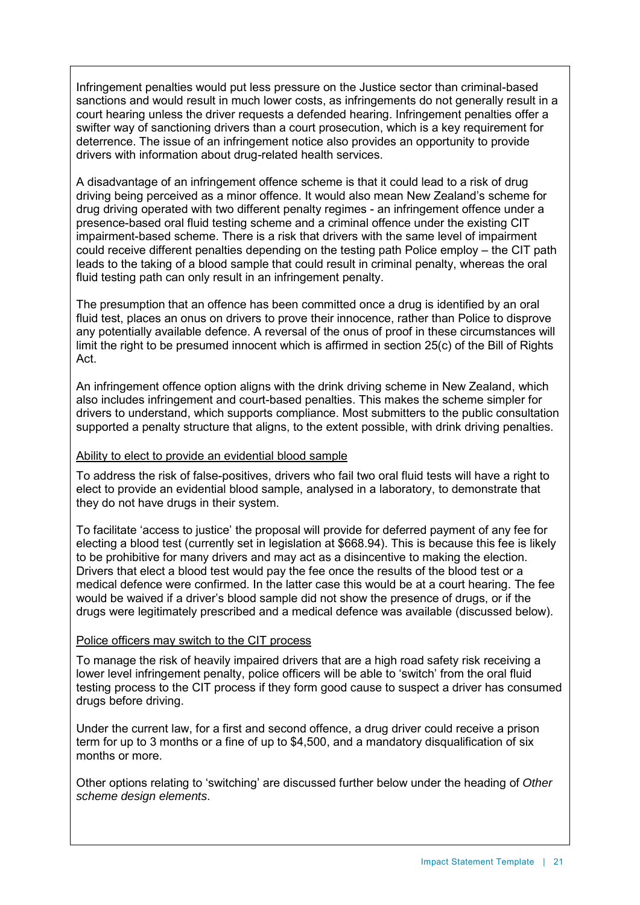Infringement penalties would put less pressure on the Justice sector than criminal-based sanctions and would result in much lower costs, as infringements do not generally result in a court hearing unless the driver requests a defended hearing. Infringement penalties offer a swifter way of sanctioning drivers than a court prosecution, which is a key requirement for deterrence. The issue of an infringement notice also provides an opportunity to provide drivers with information about drug-related health services.

A disadvantage of an infringement offence scheme is that it could lead to a risk of drug driving being perceived as a minor offence. It would also mean New Zealand's scheme for drug driving operated with two different penalty regimes - an infringement offence under a presence-based oral fluid testing scheme and a criminal offence under the existing CIT impairment-based scheme. There is a risk that drivers with the same level of impairment could receive different penalties depending on the testing path Police employ – the CIT path leads to the taking of a blood sample that could result in criminal penalty, whereas the oral fluid testing path can only result in an infringement penalty.

The presumption that an offence has been committed once a drug is identified by an oral fluid test, places an onus on drivers to prove their innocence, rather than Police to disprove any potentially available defence. A reversal of the onus of proof in these circumstances will limit the right to be presumed innocent which is affirmed in section 25(c) of the Bill of Rights Act.

An infringement offence option aligns with the drink driving scheme in New Zealand, which also includes infringement and court-based penalties. This makes the scheme simpler for drivers to understand, which supports compliance. Most submitters to the public consultation supported a penalty structure that aligns, to the extent possible, with drink driving penalties.

#### Ability to elect to provide an evidential blood sample

To address the risk of false-positives, drivers who fail two oral fluid tests will have a right to elect to provide an evidential blood sample, analysed in a laboratory, to demonstrate that they do not have drugs in their system.

To facilitate 'access to justice' the proposal will provide for deferred payment of any fee for electing a blood test (currently set in legislation at \$668.94). This is because this fee is likely to be prohibitive for many drivers and may act as a disincentive to making the election. Drivers that elect a blood test would pay the fee once the results of the blood test or a medical defence were confirmed. In the latter case this would be at a court hearing. The fee would be waived if a driver's blood sample did not show the presence of drugs, or if the drugs were legitimately prescribed and a medical defence was available (discussed below).

#### Police officers may switch to the CIT process

To manage the risk of heavily impaired drivers that are a high road safety risk receiving a lower level infringement penalty, police officers will be able to 'switch' from the oral fluid testing process to the CIT process if they form good cause to suspect a driver has consumed drugs before driving.

Under the current law, for a first and second offence, a drug driver could receive a prison term for up to 3 months or a fine of up to \$4,500, and a mandatory disqualification of six months or more.

Other options relating to 'switching' are discussed further below under the heading of *Other scheme design elements*.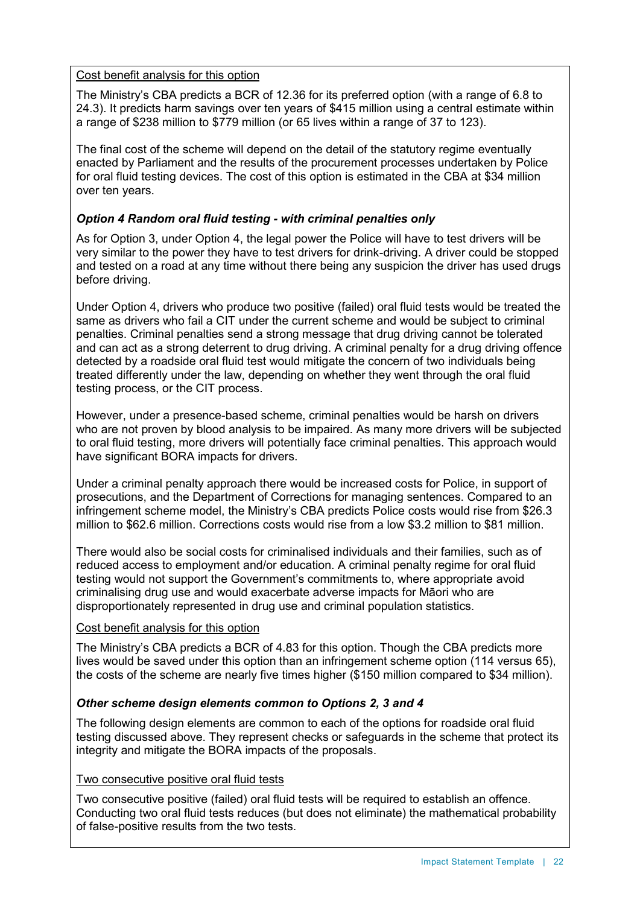#### Cost benefit analysis for this option

The Ministry's CBA predicts a BCR of 12.36 for its preferred option (with a range of 6.8 to 24.3). It predicts harm savings over ten years of \$415 million using a central estimate within a range of \$238 million to \$779 million (or 65 lives within a range of 37 to 123).

The final cost of the scheme will depend on the detail of the statutory regime eventually enacted by Parliament and the results of the procurement processes undertaken by Police for oral fluid testing devices. The cost of this option is estimated in the CBA at \$34 million over ten years.

# *Option 4 Random oral fluid testing - with criminal penalties only*

As for Option 3, under Option 4, the legal power the Police will have to test drivers will be very similar to the power they have to test drivers for drink-driving. A driver could be stopped and tested on a road at any time without there being any suspicion the driver has used drugs before driving.

Under Option 4, drivers who produce two positive (failed) oral fluid tests would be treated the same as drivers who fail a CIT under the current scheme and would be subject to criminal penalties. Criminal penalties send a strong message that drug driving cannot be tolerated and can act as a strong deterrent to drug driving. A criminal penalty for a drug driving offence detected by a roadside oral fluid test would mitigate the concern of two individuals being treated differently under the law, depending on whether they went through the oral fluid testing process, or the CIT process.

However, under a presence-based scheme, criminal penalties would be harsh on drivers who are not proven by blood analysis to be impaired. As many more drivers will be subjected to oral fluid testing, more drivers will potentially face criminal penalties. This approach would have significant BORA impacts for drivers.

Under a criminal penalty approach there would be increased costs for Police, in support of prosecutions, and the Department of Corrections for managing sentences. Compared to an infringement scheme model, the Ministry's CBA predicts Police costs would rise from \$26.3 million to \$62.6 million. Corrections costs would rise from a low \$3.2 million to \$81 million.

There would also be social costs for criminalised individuals and their families, such as of reduced access to employment and/or education. A criminal penalty regime for oral fluid testing would not support the Government's commitments to, where appropriate avoid criminalising drug use and would exacerbate adverse impacts for Māori who are disproportionately represented in drug use and criminal population statistics.

#### Cost benefit analysis for this option

The Ministry's CBA predicts a BCR of 4.83 for this option. Though the CBA predicts more lives would be saved under this option than an infringement scheme option (114 versus 65), the costs of the scheme are nearly five times higher (\$150 million compared to \$34 million).

# *Other scheme design elements common to Options 2, 3 and 4*

The following design elements are common to each of the options for roadside oral fluid testing discussed above. They represent checks or safeguards in the scheme that protect its integrity and mitigate the BORA impacts of the proposals.

#### Two consecutive positive oral fluid tests

Two consecutive positive (failed) oral fluid tests will be required to establish an offence. Conducting two oral fluid tests reduces (but does not eliminate) the mathematical probability of false-positive results from the two tests.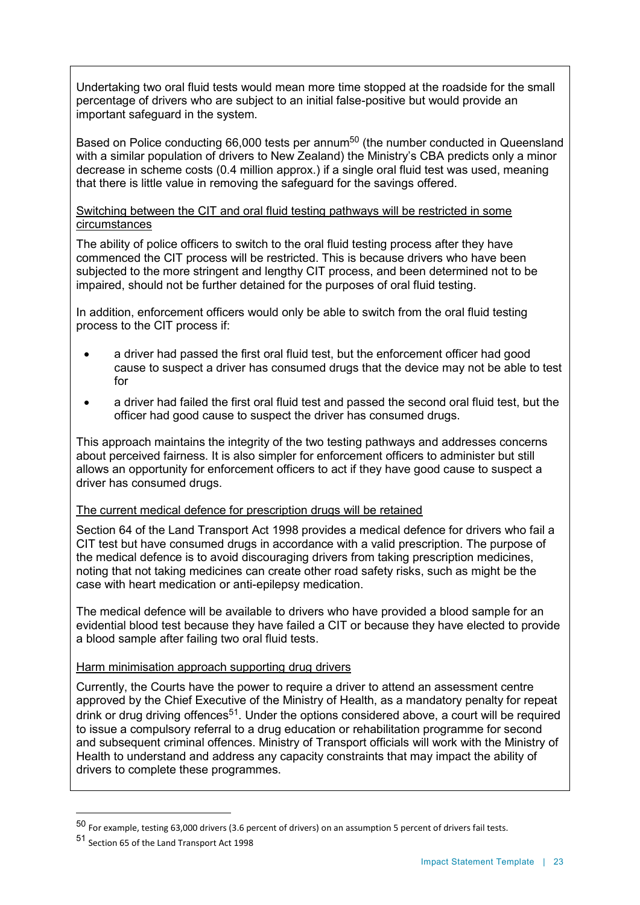Undertaking two oral fluid tests would mean more time stopped at the roadside for the small percentage of drivers who are subject to an initial false-positive but would provide an important safeguard in the system.

Based on Police conducting 66,000 tests per annum<sup>50</sup> (the number conducted in Queensland with a similar population of drivers to New Zealand) the Ministry's CBA predicts only a minor decrease in scheme costs (0.4 million approx.) if a single oral fluid test was used, meaning that there is little value in removing the safeguard for the savings offered.

#### Switching between the CIT and oral fluid testing pathways will be restricted in some circumstances

The ability of police officers to switch to the oral fluid testing process after they have commenced the CIT process will be restricted. This is because drivers who have been subjected to the more stringent and lengthy CIT process, and been determined not to be impaired, should not be further detained for the purposes of oral fluid testing.

In addition, enforcement officers would only be able to switch from the oral fluid testing process to the CIT process if:

- a driver had passed the first oral fluid test, but the enforcement officer had good cause to suspect a driver has consumed drugs that the device may not be able to test for
- a driver had failed the first oral fluid test and passed the second oral fluid test, but the officer had good cause to suspect the driver has consumed drugs.

This approach maintains the integrity of the two testing pathways and addresses concerns about perceived fairness. It is also simpler for enforcement officers to administer but still allows an opportunity for enforcement officers to act if they have good cause to suspect a driver has consumed drugs.

#### The current medical defence for prescription drugs will be retained

Section 64 of the Land Transport Act 1998 provides a medical defence for drivers who fail a CIT test but have consumed drugs in accordance with a valid prescription. The purpose of the medical defence is to avoid discouraging drivers from taking prescription medicines, noting that not taking medicines can create other road safety risks, such as might be the case with heart medication or anti-epilepsy medication.

The medical defence will be available to drivers who have provided a blood sample for an evidential blood test because they have failed a CIT or because they have elected to provide a blood sample after failing two oral fluid tests.

#### Harm minimisation approach supporting drug drivers

Currently, the Courts have the power to require a driver to attend an assessment centre approved by the Chief Executive of the Ministry of Health, as a mandatory penalty for repeat drink or drug driving offences<sup>51</sup>. Under the options considered above, a court will be required to issue a compulsory referral to a drug education or rehabilitation programme for second and subsequent criminal offences. Ministry of Transport officials will work with the Ministry of Health to understand and address any capacity constraints that may impact the ability of drivers to complete these programmes.

 $\ddot{\phantom{a}}$ 

<sup>50</sup> For example, testing 63,000 drivers (3.6 percent of drivers) on an assumption 5 percent of drivers fail tests.

<sup>51</sup> Section 65 of the Land Transport Act 1998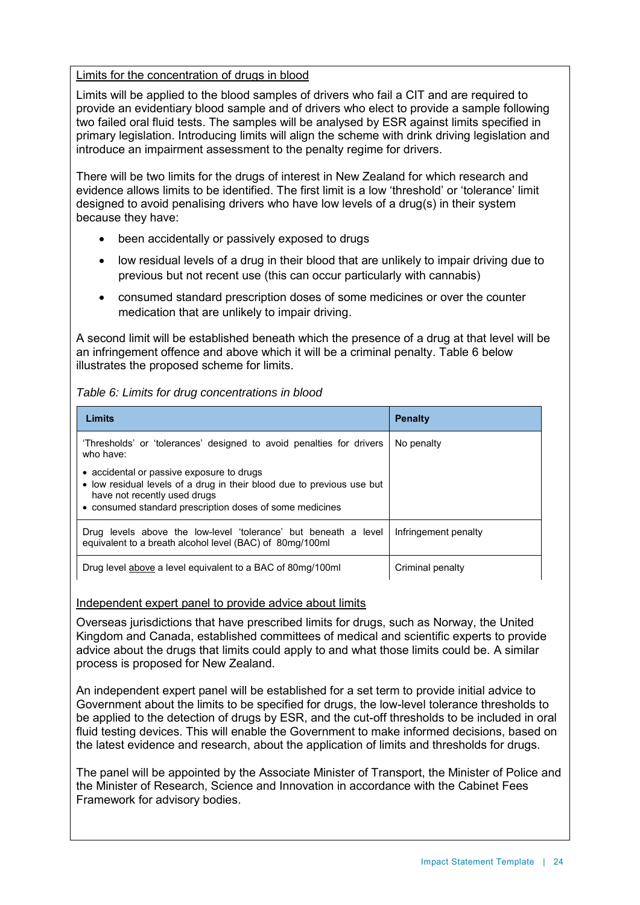#### Limits for the concentration of drugs in blood

Limits will be applied to the blood samples of drivers who fail a CIT and are required to provide an evidentiary blood sample and of drivers who elect to provide a sample following two failed oral fluid tests. The samples will be analysed by ESR against limits specified in primary legislation. Introducing limits will align the scheme with drink driving legislation and introduce an impairment assessment to the penalty regime for drivers.

There will be two limits for the drugs of interest in New Zealand for which research and evidence allows limits to be identified. The first limit is a low 'threshold' or 'tolerance' limit designed to avoid penalising drivers who have low levels of a drug(s) in their system because they have:

- been accidentally or passively exposed to drugs
- low residual levels of a drug in their blood that are unlikely to impair driving due to previous but not recent use (this can occur particularly with cannabis)
- consumed standard prescription doses of some medicines or over the counter medication that are unlikely to impair driving.

A second limit will be established beneath which the presence of a drug at that level will be an infringement offence and above which it will be a criminal penalty. Table 6 below illustrates the proposed scheme for limits.

#### *Table 6: Limits for drug concentrations in blood*

| Limits                                                                                                                                                                                                          | <b>Penalty</b>       |
|-----------------------------------------------------------------------------------------------------------------------------------------------------------------------------------------------------------------|----------------------|
| 'Thresholds' or 'tolerances' designed to avoid penalties for drivers<br>who have:                                                                                                                               | No penalty           |
| • accidental or passive exposure to drugs<br>• low residual levels of a drug in their blood due to previous use but<br>have not recently used drugs<br>• consumed standard prescription doses of some medicines |                      |
| Drug levels above the low-level 'tolerance' but beneath a level<br>equivalent to a breath alcohol level (BAC) of 80mg/100ml                                                                                     | Infringement penalty |
| Drug level above a level equivalent to a BAC of 80mg/100ml                                                                                                                                                      | Criminal penalty     |

#### Independent expert panel to provide advice about limits

Overseas jurisdictions that have prescribed limits for drugs, such as Norway, the United Kingdom and Canada, established committees of medical and scientific experts to provide advice about the drugs that limits could apply to and what those limits could be. A similar process is proposed for New Zealand.

An independent expert panel will be established for a set term to provide initial advice to Government about the limits to be specified for drugs, the low-level tolerance thresholds to be applied to the detection of drugs by ESR, and the cut-off thresholds to be included in oral fluid testing devices. This will enable the Government to make informed decisions, based on the latest evidence and research, about the application of limits and thresholds for drugs.

The panel will be appointed by the Associate Minister of Transport, the Minister of Police and the Minister of Research, Science and Innovation in accordance with the Cabinet Fees Framework for advisory bodies.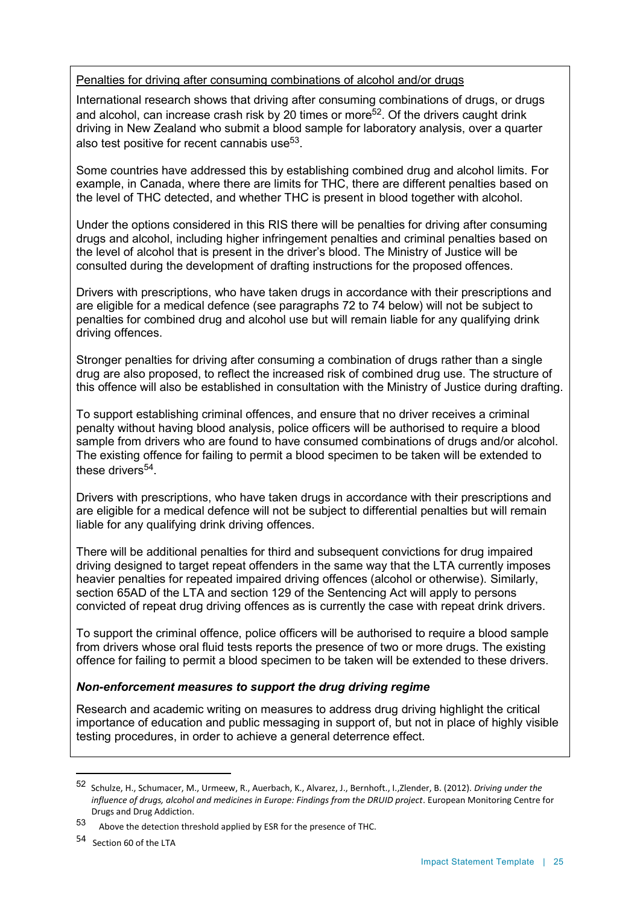#### Penalties for driving after consuming combinations of alcohol and/or drugs

International research shows that driving after consuming combinations of drugs, or drugs and alcohol, can increase crash risk by 20 times or more<sup>52</sup>. Of the drivers caught drink driving in New Zealand who submit a blood sample for laboratory analysis, over a quarter also test positive for recent cannabis use $^{\rm 53}.$ 

Some countries have addressed this by establishing combined drug and alcohol limits. For example, in Canada, where there are limits for THC, there are different penalties based on the level of THC detected, and whether THC is present in blood together with alcohol.

Under the options considered in this RIS there will be penalties for driving after consuming drugs and alcohol, including higher infringement penalties and criminal penalties based on the level of alcohol that is present in the driver's blood. The Ministry of Justice will be consulted during the development of drafting instructions for the proposed offences.

Drivers with prescriptions, who have taken drugs in accordance with their prescriptions and are eligible for a medical defence (see paragraphs 72 to 74 below) will not be subject to penalties for combined drug and alcohol use but will remain liable for any qualifying drink driving offences.

Stronger penalties for driving after consuming a combination of drugs rather than a single drug are also proposed, to reflect the increased risk of combined drug use. The structure of this offence will also be established in consultation with the Ministry of Justice during drafting.

To support establishing criminal offences, and ensure that no driver receives a criminal penalty without having blood analysis, police officers will be authorised to require a blood sample from drivers who are found to have consumed combinations of drugs and/or alcohol. The existing offence for failing to permit a blood specimen to be taken will be extended to these drivers<sup>54</sup>.

Drivers with prescriptions, who have taken drugs in accordance with their prescriptions and are eligible for a medical defence will not be subject to differential penalties but will remain liable for any qualifying drink driving offences.

There will be additional penalties for third and subsequent convictions for drug impaired driving designed to target repeat offenders in the same way that the LTA currently imposes heavier penalties for repeated impaired driving offences (alcohol or otherwise). Similarly, section 65AD of the LTA and section 129 of the Sentencing Act will apply to persons convicted of repeat drug driving offences as is currently the case with repeat drink drivers.

To support the criminal offence, police officers will be authorised to require a blood sample from drivers whose oral fluid tests reports the presence of two or more drugs. The existing offence for failing to permit a blood specimen to be taken will be extended to these drivers.

# *Non-enforcement measures to support the drug driving regime*

Research and academic writing on measures to address drug driving highlight the critical importance of education and public messaging in support of, but not in place of highly visible testing procedures, in order to achieve a general deterrence effect.

 $\overline{a}$ 

<sup>52</sup> Schulze, H., Schumacer, M., Urmeew, R., Auerbach, K., Alvarez, J., Bernhoft., I.,Zlender, B. (2012). *Driving under the influence of drugs, alcohol and medicines in Europe: Findings from the DRUID project*. European Monitoring Centre for Drugs and Drug Addiction.

<sup>53</sup> Above the detection threshold applied by ESR for the presence of THC.

<sup>54</sup> Section 60 of the LTA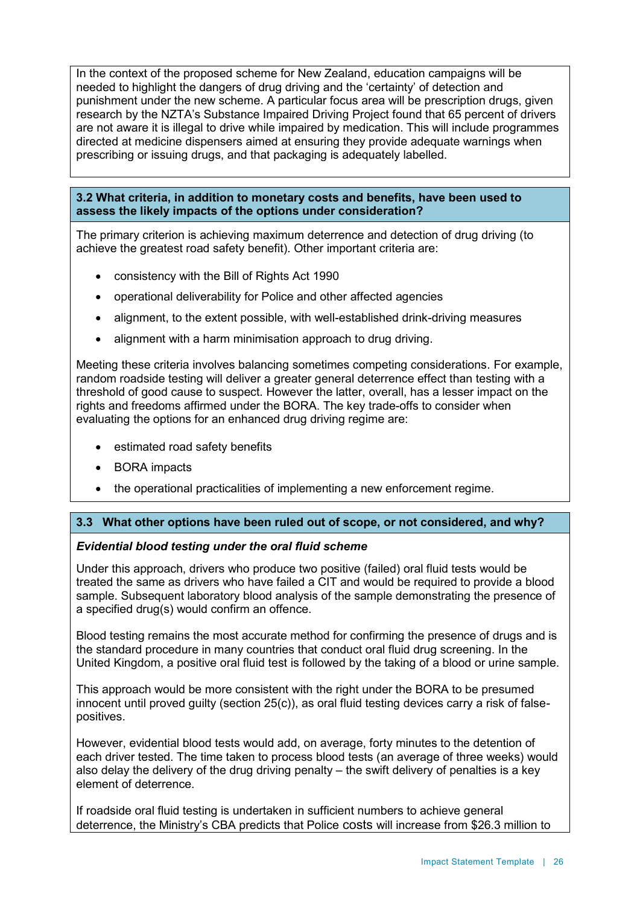In the context of the proposed scheme for New Zealand, education campaigns will be needed to highlight the dangers of drug driving and the 'certainty' of detection and punishment under the new scheme. A particular focus area will be prescription drugs, given research by the NZTA's Substance Impaired Driving Project found that 65 percent of drivers are not aware it is illegal to drive while impaired by medication. This will include programmes directed at medicine dispensers aimed at ensuring they provide adequate warnings when prescribing or issuing drugs, and that packaging is adequately labelled.

#### **3.2 What criteria, in addition to monetary costs and benefits, have been used to assess the likely impacts of the options under consideration?**

The primary criterion is achieving maximum deterrence and detection of drug driving (to achieve the greatest road safety benefit). Other important criteria are:

- consistency with the Bill of Rights Act 1990
- operational deliverability for Police and other affected agencies
- alignment, to the extent possible, with well-established drink-driving measures
- alignment with a harm minimisation approach to drug driving.

Meeting these criteria involves balancing sometimes competing considerations. For example, random roadside testing will deliver a greater general deterrence effect than testing with a threshold of good cause to suspect. However the latter, overall, has a lesser impact on the rights and freedoms affirmed under the BORA. The key trade-offs to consider when evaluating the options for an enhanced drug driving regime are:

- estimated road safety benefits
- BORA impacts
- the operational practicalities of implementing a new enforcement regime.

#### **3.3 What other options have been ruled out of scope, or not considered, and why?**

#### *Evidential blood testing under the oral fluid scheme*

Under this approach, drivers who produce two positive (failed) oral fluid tests would be treated the same as drivers who have failed a CIT and would be required to provide a blood sample. Subsequent laboratory blood analysis of the sample demonstrating the presence of a specified drug(s) would confirm an offence.

Blood testing remains the most accurate method for confirming the presence of drugs and is the standard procedure in many countries that conduct oral fluid drug screening. In the United Kingdom, a positive oral fluid test is followed by the taking of a blood or urine sample.

This approach would be more consistent with the right under the BORA to be presumed innocent until proved guilty (section 25(c)), as oral fluid testing devices carry a risk of falsepositives.

However, evidential blood tests would add, on average, forty minutes to the detention of each driver tested. The time taken to process blood tests (an average of three weeks) would also delay the delivery of the drug driving penalty – the swift delivery of penalties is a key element of deterrence.

If roadside oral fluid testing is undertaken in sufficient numbers to achieve general deterrence, the Ministry's CBA predicts that Police costs will increase from \$26.3 million to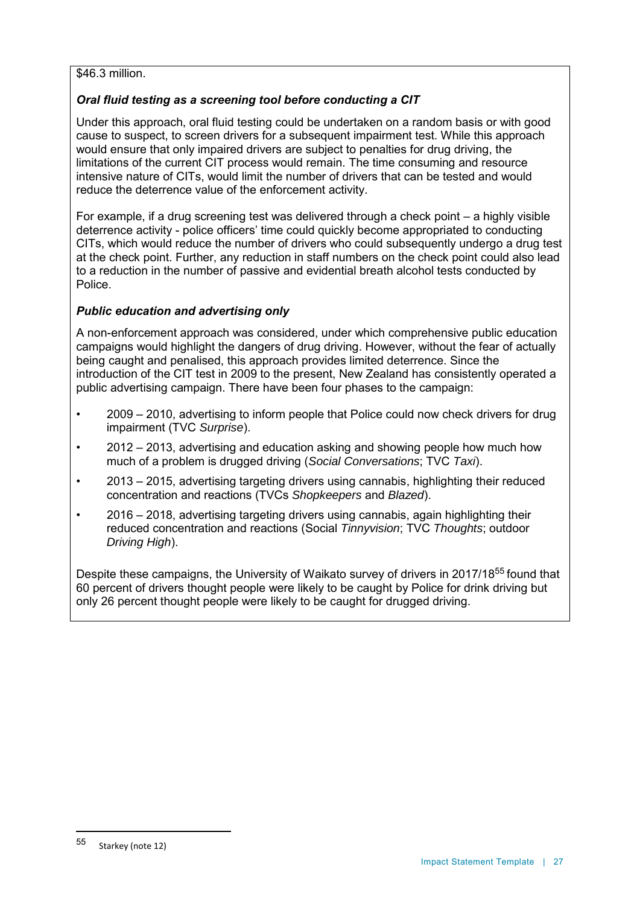#### \$46.3 million.

# *Oral fluid testing as a screening tool before conducting a CIT*

Under this approach, oral fluid testing could be undertaken on a random basis or with good cause to suspect, to screen drivers for a subsequent impairment test. While this approach would ensure that only impaired drivers are subject to penalties for drug driving, the limitations of the current CIT process would remain. The time consuming and resource intensive nature of CITs, would limit the number of drivers that can be tested and would reduce the deterrence value of the enforcement activity.

For example, if a drug screening test was delivered through a check point – a highly visible deterrence activity - police officers' time could quickly become appropriated to conducting CITs, which would reduce the number of drivers who could subsequently undergo a drug test at the check point. Further, any reduction in staff numbers on the check point could also lead to a reduction in the number of passive and evidential breath alcohol tests conducted by Police.

# *Public education and advertising only*

A non-enforcement approach was considered, under which comprehensive public education campaigns would highlight the dangers of drug driving. However, without the fear of actually being caught and penalised, this approach provides limited deterrence. Since the introduction of the CIT test in 2009 to the present, New Zealand has consistently operated a public advertising campaign. There have been four phases to the campaign:

- 2009 2010, advertising to inform people that Police could now check drivers for drug impairment (TVC *Surprise*).
- 2012 2013, advertising and education asking and showing people how much how much of a problem is drugged driving (*Social Conversations*; TVC *Taxi*).
- 2013 2015, advertising targeting drivers using cannabis, highlighting their reduced concentration and reactions (TVCs *Shopkeepers* and *Blazed*).
- 2016 2018, advertising targeting drivers using cannabis, again highlighting their reduced concentration and reactions (Social *Tinnyvision*; TVC *Thoughts*; outdoor *Driving High*).

Despite these campaigns, the University of Waikato survey of drivers in 2017/18<sup>55</sup> found that 60 percent of drivers thought people were likely to be caught by Police for drink driving but only 26 percent thought people were likely to be caught for drugged driving.

 $\ddot{\phantom{a}}$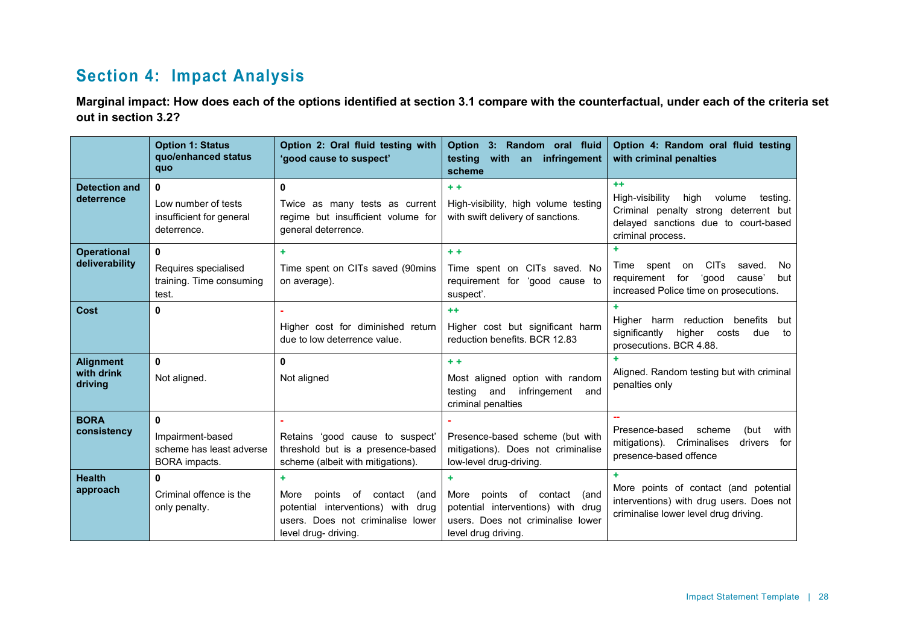# **Section 4: Impact Analysis**

**Marginal impact: How does each of the options identified at section 3.1 compare with the counterfactual, under each of the criteria set out in section 3.2?**

|                                           | <b>Option 1: Status</b><br>quo/enhanced status<br>quo                      | Option 2: Oral fluid testing with<br>'good cause to suspect'                                                                                    | Option 3: Random oral fluid<br>testing<br>with<br>infringement<br>an<br>scheme                                                              | Option 4: Random oral fluid testing<br>with criminal penalties                                                                                               |
|-------------------------------------------|----------------------------------------------------------------------------|-------------------------------------------------------------------------------------------------------------------------------------------------|---------------------------------------------------------------------------------------------------------------------------------------------|--------------------------------------------------------------------------------------------------------------------------------------------------------------|
| <b>Detection and</b><br>deterrence        | $\bf{0}$<br>Low number of tests<br>insufficient for general<br>deterrence. | $\mathbf{0}$<br>Twice as many tests as current<br>regime but insufficient volume for<br>general deterrence.                                     | $+ +$<br>High-visibility, high volume testing<br>with swift delivery of sanctions.                                                          | $+ +$<br>High-visibility<br>high<br>volume<br>testing.<br>Criminal penalty strong deterrent but<br>delayed sanctions due to court-based<br>criminal process. |
| <b>Operational</b><br>deliverability      | 0<br>Requires specialised<br>training. Time consuming<br>test.             | ÷.<br>Time spent on CITs saved (90mins<br>on average).                                                                                          | $+ +$<br>Time spent on CITs saved. No<br>requirement for 'good cause to<br>suspect'.                                                        | <b>CITs</b><br>saved.<br>Time<br>spent<br>on<br>No.<br>requirement for<br>'good<br>cause'<br>but<br>increased Police time on prosecutions.                   |
| Cost                                      | $\bf{0}$                                                                   | Higher cost for diminished return<br>due to low deterrence value.                                                                               | $+ +$<br>Higher cost but significant harm<br>reduction benefits, BCR 12.83                                                                  | ÷.<br>benefits<br>Higher harm reduction<br>but<br>significantly<br>higher<br>due<br>costs<br>to<br>prosecutions. BCR 4.88.                                   |
| <b>Alignment</b><br>with drink<br>driving | $\mathbf{0}$<br>Not aligned.                                               | $\mathbf{0}$<br>Not aligned                                                                                                                     | $+ +$<br>Most aligned option with random<br>testing<br>infringement<br>and<br>and<br>criminal penalties                                     | Aligned. Random testing but with criminal<br>penalties only                                                                                                  |
| <b>BORA</b><br>consistency                | $\bf{0}$<br>Impairment-based<br>scheme has least adverse<br>BORA impacts.  | Retains 'good cause to suspect'<br>threshold but is a presence-based<br>scheme (albeit with mitigations).                                       | Presence-based scheme (but with<br>mitigations). Does not criminalise<br>low-level drug-driving.                                            | Presence-based<br>scheme<br>(but<br>with<br>mitigations). Criminalises<br>drivers<br>for<br>presence-based offence                                           |
| <b>Health</b><br>approach                 | $\mathbf{0}$<br>Criminal offence is the<br>only penalty.                   | ÷<br>More<br>points<br>of contact<br>(and<br>potential interventions) with<br>drua<br>users. Does not criminalise lower<br>level drug- driving. | ٠<br>More<br>points<br>of contact<br>(and<br>potential interventions) with drug<br>users. Does not criminalise lower<br>level drug driving. | More points of contact (and potential<br>interventions) with drug users. Does not<br>criminalise lower level drug driving.                                   |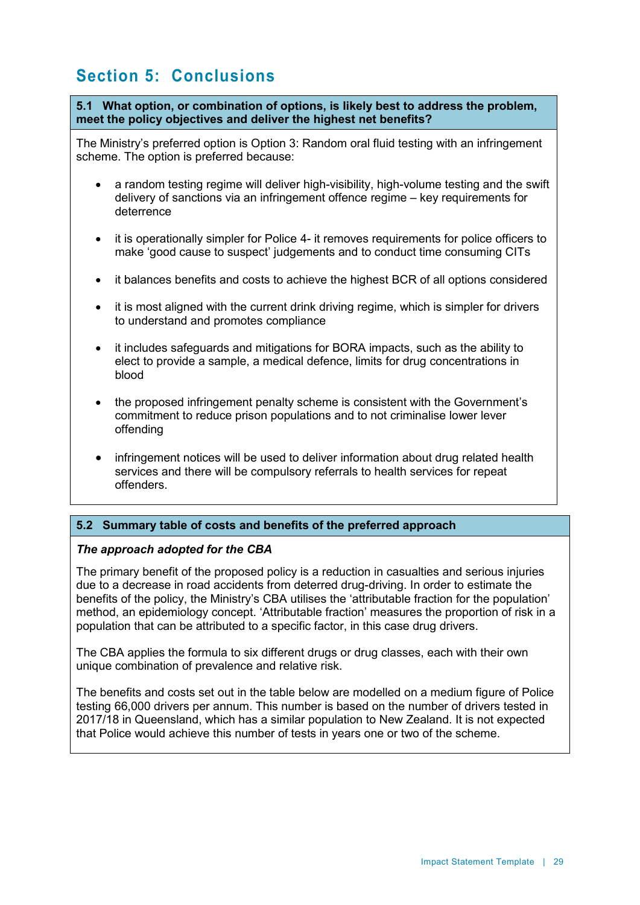# **Section 5: Conclusions**

**5.1 What option, or combination of options, is likely best to address the problem, meet the policy objectives and deliver the highest net benefits?**

The Ministry's preferred option is Option 3: Random oral fluid testing with an infringement scheme. The option is preferred because:

- a random testing regime will deliver high-visibility, high-volume testing and the swift delivery of sanctions via an infringement offence regime – key requirements for deterrence
- it is operationally simpler for Police 4- it removes requirements for police officers to make 'good cause to suspect' judgements and to conduct time consuming CITs
- it balances benefits and costs to achieve the highest BCR of all options considered
- it is most aligned with the current drink driving regime, which is simpler for drivers to understand and promotes compliance
- it includes safeguards and mitigations for BORA impacts, such as the ability to elect to provide a sample, a medical defence, limits for drug concentrations in blood
- the proposed infringement penalty scheme is consistent with the Government's commitment to reduce prison populations and to not criminalise lower lever offending
- infringement notices will be used to deliver information about drug related health services and there will be compulsory referrals to health services for repeat offenders.

#### **5.2 Summary table of costs and benefits of the preferred approach**

#### *The approach adopted for the CBA*

The primary benefit of the proposed policy is a reduction in casualties and serious injuries due to a decrease in road accidents from deterred drug-driving. In order to estimate the benefits of the policy, the Ministry's CBA utilises the 'attributable fraction for the population' method, an epidemiology concept. 'Attributable fraction' measures the proportion of risk in a population that can be attributed to a specific factor, in this case drug drivers.

The CBA applies the formula to six different drugs or drug classes, each with their own unique combination of prevalence and relative risk.

The benefits and costs set out in the table below are modelled on a medium figure of Police testing 66,000 drivers per annum. This number is based on the number of drivers tested in 2017/18 in Queensland, which has a similar population to New Zealand. It is not expected that Police would achieve this number of tests in years one or two of the scheme.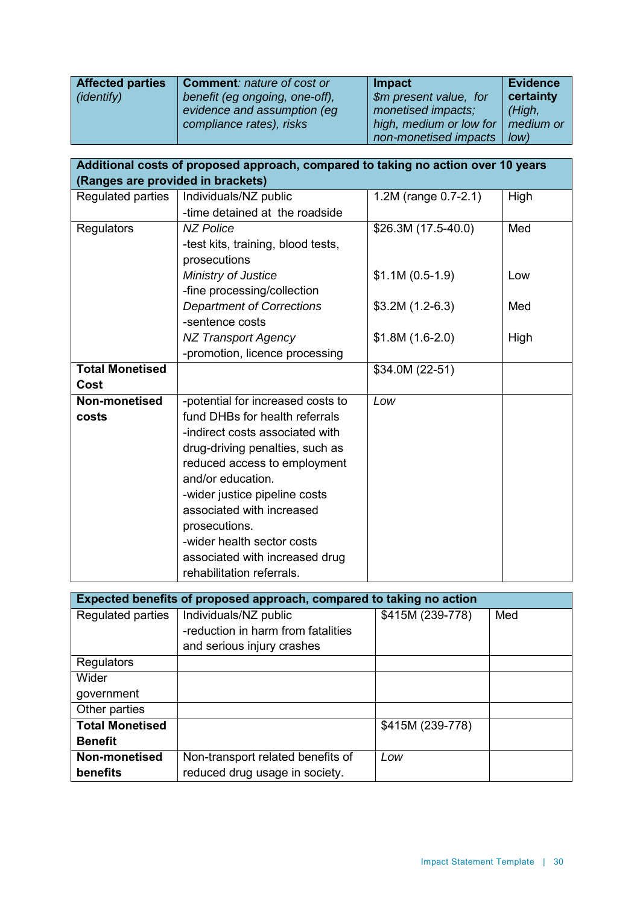| <b>Affected parties</b><br><i>(identify)</i> | <b>Comment: nature of cost or</b><br>benefit (eg ongoing, one-off),<br>evidence and assumption (eq | Impact<br>\$m present value, for<br>monetised impacts;             | <b>Evidence</b><br>certainty<br>(High, |
|----------------------------------------------|----------------------------------------------------------------------------------------------------|--------------------------------------------------------------------|----------------------------------------|
|                                              | compliance rates), risks                                                                           | high, medium or low for $\vert$ medium or<br>non-monetised impacts | Iow                                    |

| Additional costs of proposed approach, compared to taking no action over 10 years |                                    |                      |      |  |  |
|-----------------------------------------------------------------------------------|------------------------------------|----------------------|------|--|--|
| (Ranges are provided in brackets)                                                 |                                    |                      |      |  |  |
| Regulated parties                                                                 | Individuals/NZ public              | 1.2M (range 0.7-2.1) | High |  |  |
|                                                                                   | -time detained at the roadside     |                      |      |  |  |
| <b>Regulators</b>                                                                 | <b>NZ Police</b>                   | \$26.3M (17.5-40.0)  | Med  |  |  |
|                                                                                   | -test kits, training, blood tests, |                      |      |  |  |
|                                                                                   | prosecutions                       |                      |      |  |  |
|                                                                                   | Ministry of Justice                | $$1.1M(0.5-1.9)$     | Low  |  |  |
|                                                                                   | -fine processing/collection        |                      |      |  |  |
|                                                                                   | <b>Department of Corrections</b>   | $$3.2M(1.2-6.3)$     | Med  |  |  |
|                                                                                   | -sentence costs                    |                      |      |  |  |
|                                                                                   | <b>NZ Transport Agency</b>         | $$1.8M(1.6-2.0)$     | High |  |  |
|                                                                                   | -promotion, licence processing     |                      |      |  |  |
| <b>Total Monetised</b>                                                            |                                    | \$34.0M (22-51)      |      |  |  |
| Cost                                                                              |                                    |                      |      |  |  |
| Non-monetised                                                                     | -potential for increased costs to  | Low                  |      |  |  |
| costs                                                                             | fund DHBs for health referrals     |                      |      |  |  |
|                                                                                   | -indirect costs associated with    |                      |      |  |  |
|                                                                                   | drug-driving penalties, such as    |                      |      |  |  |
|                                                                                   | reduced access to employment       |                      |      |  |  |
|                                                                                   | and/or education.                  |                      |      |  |  |
|                                                                                   | -wider justice pipeline costs      |                      |      |  |  |
|                                                                                   | associated with increased          |                      |      |  |  |
|                                                                                   | prosecutions.                      |                      |      |  |  |
|                                                                                   | -wider health sector costs         |                      |      |  |  |
|                                                                                   | associated with increased drug     |                      |      |  |  |
|                                                                                   | rehabilitation referrals.          |                      |      |  |  |

|                        | Expected benefits of proposed approach, compared to taking no action |                  |     |  |  |  |
|------------------------|----------------------------------------------------------------------|------------------|-----|--|--|--|
| Regulated parties      | Individuals/NZ public                                                | \$415M (239-778) | Med |  |  |  |
|                        | -reduction in harm from fatalities                                   |                  |     |  |  |  |
|                        | and serious injury crashes                                           |                  |     |  |  |  |
| Regulators             |                                                                      |                  |     |  |  |  |
| Wider                  |                                                                      |                  |     |  |  |  |
| government             |                                                                      |                  |     |  |  |  |
| Other parties          |                                                                      |                  |     |  |  |  |
| <b>Total Monetised</b> |                                                                      | \$415M (239-778) |     |  |  |  |
| <b>Benefit</b>         |                                                                      |                  |     |  |  |  |
| Non-monetised          | Non-transport related benefits of                                    | Low              |     |  |  |  |
| benefits               | reduced drug usage in society.                                       |                  |     |  |  |  |

i.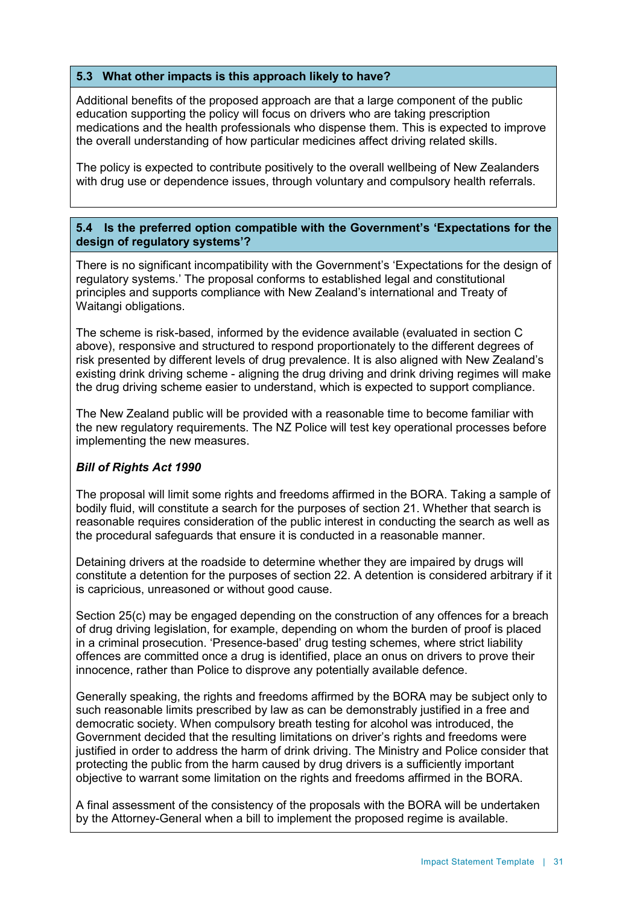# **5.3 What other impacts is this approach likely to have?**

Additional benefits of the proposed approach are that a large component of the public education supporting the policy will focus on drivers who are taking prescription medications and the health professionals who dispense them. This is expected to improve the overall understanding of how particular medicines affect driving related skills.

The policy is expected to contribute positively to the overall wellbeing of New Zealanders with drug use or dependence issues, through voluntary and compulsory health referrals.

#### **5.4 Is the preferred option compatible with the Government's 'Expectations for the design of regulatory systems'?**

There is no significant incompatibility with the Government's 'Expectations for the design of regulatory systems.' The proposal conforms to established legal and constitutional principles and supports compliance with New Zealand's international and Treaty of Waitangi obligations.

The scheme is risk-based, informed by the evidence available (evaluated in section C above), responsive and structured to respond proportionately to the different degrees of risk presented by different levels of drug prevalence. It is also aligned with New Zealand's existing drink driving scheme - aligning the drug driving and drink driving regimes will make the drug driving scheme easier to understand, which is expected to support compliance.

The New Zealand public will be provided with a reasonable time to become familiar with the new regulatory requirements. The NZ Police will test key operational processes before implementing the new measures.

#### *Bill of Rights Act 1990*

The proposal will limit some rights and freedoms affirmed in the BORA. Taking a sample of bodily fluid, will constitute a search for the purposes of section 21. Whether that search is reasonable requires consideration of the public interest in conducting the search as well as the procedural safeguards that ensure it is conducted in a reasonable manner.

Detaining drivers at the roadside to determine whether they are impaired by drugs will constitute a detention for the purposes of section 22. A detention is considered arbitrary if it is capricious, unreasoned or without good cause.

Section 25(c) may be engaged depending on the construction of any offences for a breach of drug driving legislation, for example, depending on whom the burden of proof is placed in a criminal prosecution. 'Presence-based' drug testing schemes, where strict liability offences are committed once a drug is identified, place an onus on drivers to prove their innocence, rather than Police to disprove any potentially available defence.

Generally speaking, the rights and freedoms affirmed by the BORA may be subject only to such reasonable limits prescribed by law as can be demonstrably justified in a free and democratic society. When compulsory breath testing for alcohol was introduced, the Government decided that the resulting limitations on driver's rights and freedoms were justified in order to address the harm of drink driving. The Ministry and Police consider that protecting the public from the harm caused by drug drivers is a sufficiently important objective to warrant some limitation on the rights and freedoms affirmed in the BORA.

A final assessment of the consistency of the proposals with the BORA will be undertaken by the Attorney-General when a bill to implement the proposed regime is available.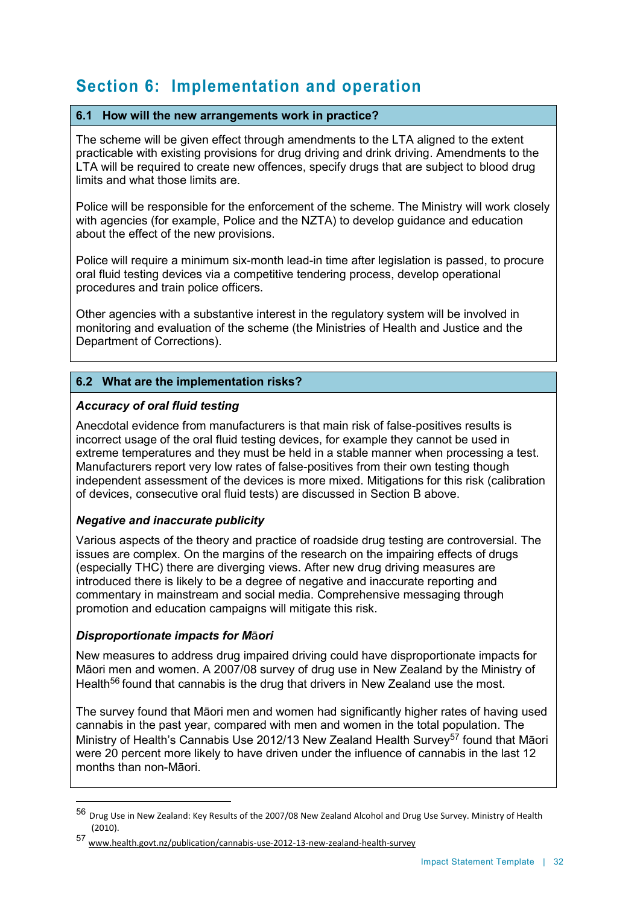# **Section 6: Implementation and operation**

# **6.1 How will the new arrangements work in practice?**

The scheme will be given effect through amendments to the LTA aligned to the extent practicable with existing provisions for drug driving and drink driving. Amendments to the LTA will be required to create new offences, specify drugs that are subject to blood drug limits and what those limits are.

Police will be responsible for the enforcement of the scheme. The Ministry will work closely with agencies (for example, Police and the NZTA) to develop guidance and education about the effect of the new provisions.

Police will require a minimum six-month lead-in time after legislation is passed, to procure oral fluid testing devices via a competitive tendering process, develop operational procedures and train police officers.

Other agencies with a substantive interest in the regulatory system will be involved in monitoring and evaluation of the scheme (the Ministries of Health and Justice and the Department of Corrections).

# **6.2 What are the implementation risks?**

# *Accuracy of oral fluid testing*

Anecdotal evidence from manufacturers is that main risk of false-positives results is incorrect usage of the oral fluid testing devices, for example they cannot be used in extreme temperatures and they must be held in a stable manner when processing a test. Manufacturers report very low rates of false-positives from their own testing though independent assessment of the devices is more mixed. Mitigations for this risk (calibration of devices, consecutive oral fluid tests) are discussed in Section B above.

#### *Negative and inaccurate publicity*

Various aspects of the theory and practice of roadside drug testing are controversial. The issues are complex. On the margins of the research on the impairing effects of drugs (especially THC) there are diverging views. After new drug driving measures are introduced there is likely to be a degree of negative and inaccurate reporting and commentary in mainstream and social media. Comprehensive messaging through promotion and education campaigns will mitigate this risk.

#### *Disproportionate impacts for M*ā*ori*

 $\overline{a}$ 

New measures to address drug impaired driving could have disproportionate impacts for Māori men and women. A 2007/08 survey of drug use in New Zealand by the Ministry of Health<sup>56</sup> found that cannabis is the drug that drivers in New Zealand use the most.

The survey found that Māori men and women had significantly higher rates of having used cannabis in the past year, compared with men and women in the total population. The Ministry of Health's Cannabis Use 2012/13 New Zealand Health Survey<sup>57</sup> found that Māori were 20 percent more likely to have driven under the influence of cannabis in the last 12 months than non-Māori.

<sup>56</sup> Drug Use in New Zealand: Key Results of the 2007/08 New Zealand Alcohol and Drug Use Survey. Ministry of Health (2010).

<sup>57</sup> www.health.govt.nz/publication/cannabis-use-2012-13-new-zealand-health-survey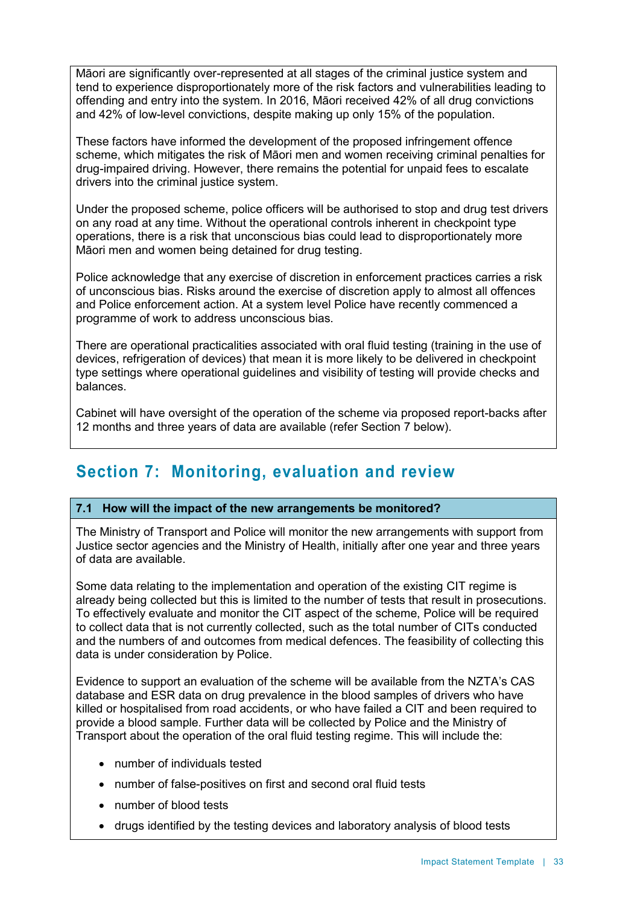Māori are significantly over-represented at all stages of the criminal justice system and tend to experience disproportionately more of the risk factors and vulnerabilities leading to offending and entry into the system. In 2016, Māori received 42% of all drug convictions and 42% of low-level convictions, despite making up only 15% of the population.

These factors have informed the development of the proposed infringement offence scheme, which mitigates the risk of Māori men and women receiving criminal penalties for drug-impaired driving. However, there remains the potential for unpaid fees to escalate drivers into the criminal justice system.

Under the proposed scheme, police officers will be authorised to stop and drug test drivers on any road at any time. Without the operational controls inherent in checkpoint type operations, there is a risk that unconscious bias could lead to disproportionately more Māori men and women being detained for drug testing.

Police acknowledge that any exercise of discretion in enforcement practices carries a risk of unconscious bias. Risks around the exercise of discretion apply to almost all offences and Police enforcement action. At a system level Police have recently commenced a programme of work to address unconscious bias.

There are operational practicalities associated with oral fluid testing (training in the use of devices, refrigeration of devices) that mean it is more likely to be delivered in checkpoint type settings where operational guidelines and visibility of testing will provide checks and balances.

Cabinet will have oversight of the operation of the scheme via proposed report-backs after 12 months and three years of data are available (refer Section 7 below).

# **Section 7: Monitoring, evaluation and review**

#### **7.1 How will the impact of the new arrangements be monitored?**

The Ministry of Transport and Police will monitor the new arrangements with support from Justice sector agencies and the Ministry of Health, initially after one year and three years of data are available.

Some data relating to the implementation and operation of the existing CIT regime is already being collected but this is limited to the number of tests that result in prosecutions. To effectively evaluate and monitor the CIT aspect of the scheme, Police will be required to collect data that is not currently collected, such as the total number of CITs conducted and the numbers of and outcomes from medical defences. The feasibility of collecting this data is under consideration by Police.

Evidence to support an evaluation of the scheme will be available from the NZTA's CAS database and ESR data on drug prevalence in the blood samples of drivers who have killed or hospitalised from road accidents, or who have failed a CIT and been required to provide a blood sample. Further data will be collected by Police and the Ministry of Transport about the operation of the oral fluid testing regime. This will include the:

- number of individuals tested
- number of false-positives on first and second oral fluid tests
- number of blood tests
- drugs identified by the testing devices and laboratory analysis of blood tests